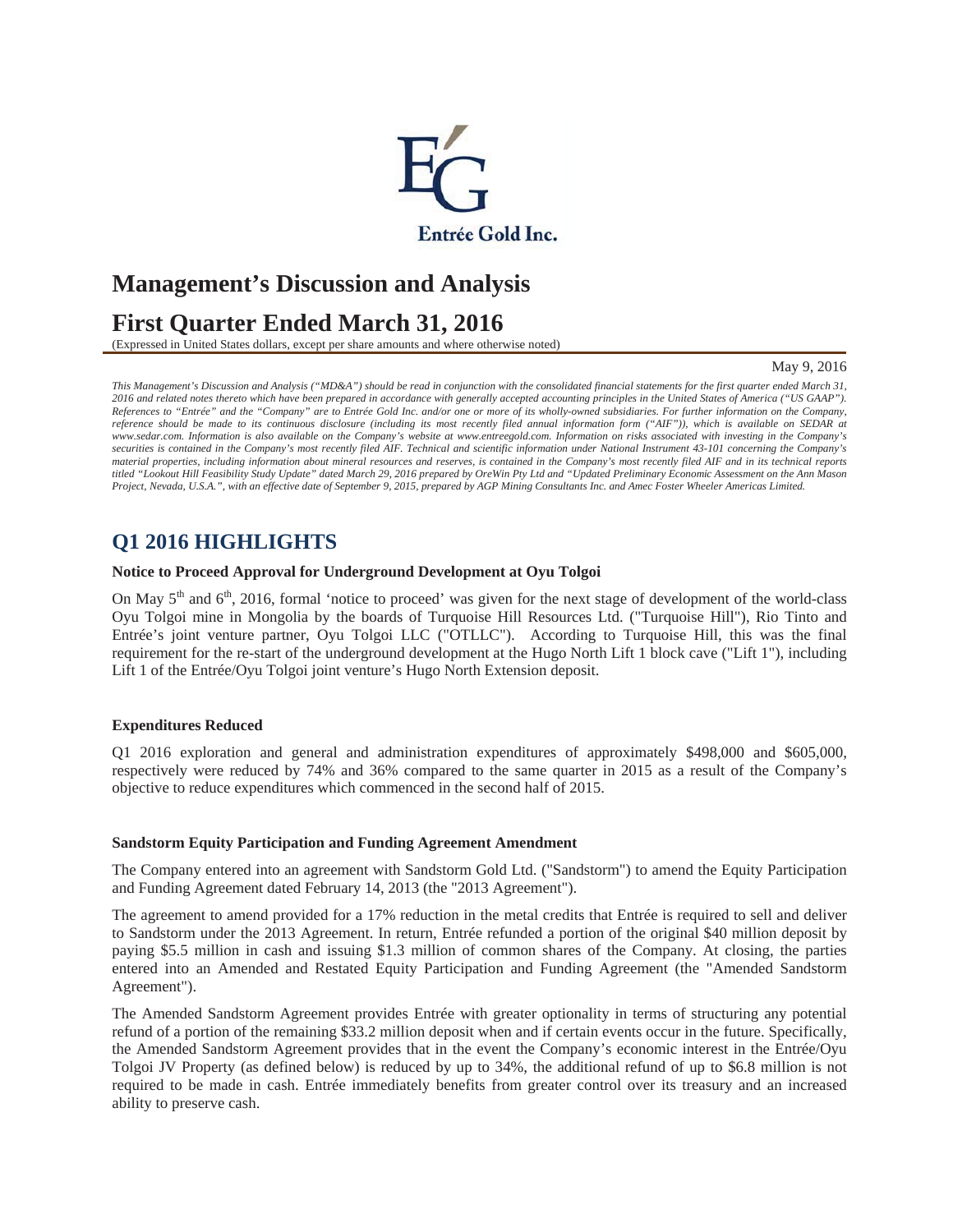

# **Management's Discussion and Analysis**

# **First Quarter Ended March 31, 2016**

(Expressed in United States dollars, except per share amounts and where otherwise noted)

#### May 9, 2016

*This Management's Discussion and Analysis ("MD&A") should be read in conjunction with the consolidated financial statements for the first quarter ended March 31, 2016 and related notes thereto which have been prepared in accordance with generally accepted accounting principles in the United States of America ("US GAAP"). References to "Entrée" and the "Company" are to Entrée Gold Inc. and/or one or more of its wholly-owned subsidiaries. For further information on the Company, reference should be made to its continuous disclosure (including its most recently filed annual information form ("AIF")), which is available on SEDAR at www.sedar.com. Information is also available on the Company's website at www.entreegold.com. Information on risks associated with investing in the Company's*  securities is contained in the Company's most recently filed AIF. Technical and scientific information under National Instrument 43-101 concerning the Company's *material properties, including information about mineral resources and reserves, is contained in the Company's most recently filed AIF and in its technical reports titled "Lookout Hill Feasibility Study Update" dated March 29, 2016 prepared by OreWin Pty Ltd and "Updated Preliminary Economic Assessment on the Ann Mason Project, Nevada, U.S.A.", with an effective date of September 9, 2015, prepared by AGP Mining Consultants Inc. and Amec Foster Wheeler Americas Limited.* 

### **Q1 2016 HIGHLIGHTS**

#### **Notice to Proceed Approval for Underground Development at Oyu Tolgoi**

On May 5<sup>th</sup> and 6<sup>th</sup>, 2016, formal 'notice to proceed' was given for the next stage of development of the world-class Oyu Tolgoi mine in Mongolia by the boards of Turquoise Hill Resources Ltd. ("Turquoise Hill"), Rio Tinto and Entrée's joint venture partner, Oyu Tolgoi LLC ("OTLLC"). According to Turquoise Hill, this was the final requirement for the re-start of the underground development at the Hugo North Lift 1 block cave ("Lift 1"), including Lift 1 of the Entrée/Oyu Tolgoi joint venture's Hugo North Extension deposit.

### **Expenditures Reduced**

Q1 2016 exploration and general and administration expenditures of approximately \$498,000 and \$605,000, respectively were reduced by 74% and 36% compared to the same quarter in 2015 as a result of the Company's objective to reduce expenditures which commenced in the second half of 2015.

#### **Sandstorm Equity Participation and Funding Agreement Amendment**

The Company entered into an agreement with Sandstorm Gold Ltd. ("Sandstorm") to amend the Equity Participation and Funding Agreement dated February 14, 2013 (the "2013 Agreement").

The agreement to amend provided for a 17% reduction in the metal credits that Entrée is required to sell and deliver to Sandstorm under the 2013 Agreement. In return, Entrée refunded a portion of the original \$40 million deposit by paying \$5.5 million in cash and issuing \$1.3 million of common shares of the Company. At closing, the parties entered into an Amended and Restated Equity Participation and Funding Agreement (the "Amended Sandstorm Agreement").

The Amended Sandstorm Agreement provides Entrée with greater optionality in terms of structuring any potential refund of a portion of the remaining \$33.2 million deposit when and if certain events occur in the future. Specifically, the Amended Sandstorm Agreement provides that in the event the Company's economic interest in the Entrée/Oyu Tolgoi JV Property (as defined below) is reduced by up to 34%, the additional refund of up to \$6.8 million is not required to be made in cash. Entrée immediately benefits from greater control over its treasury and an increased ability to preserve cash.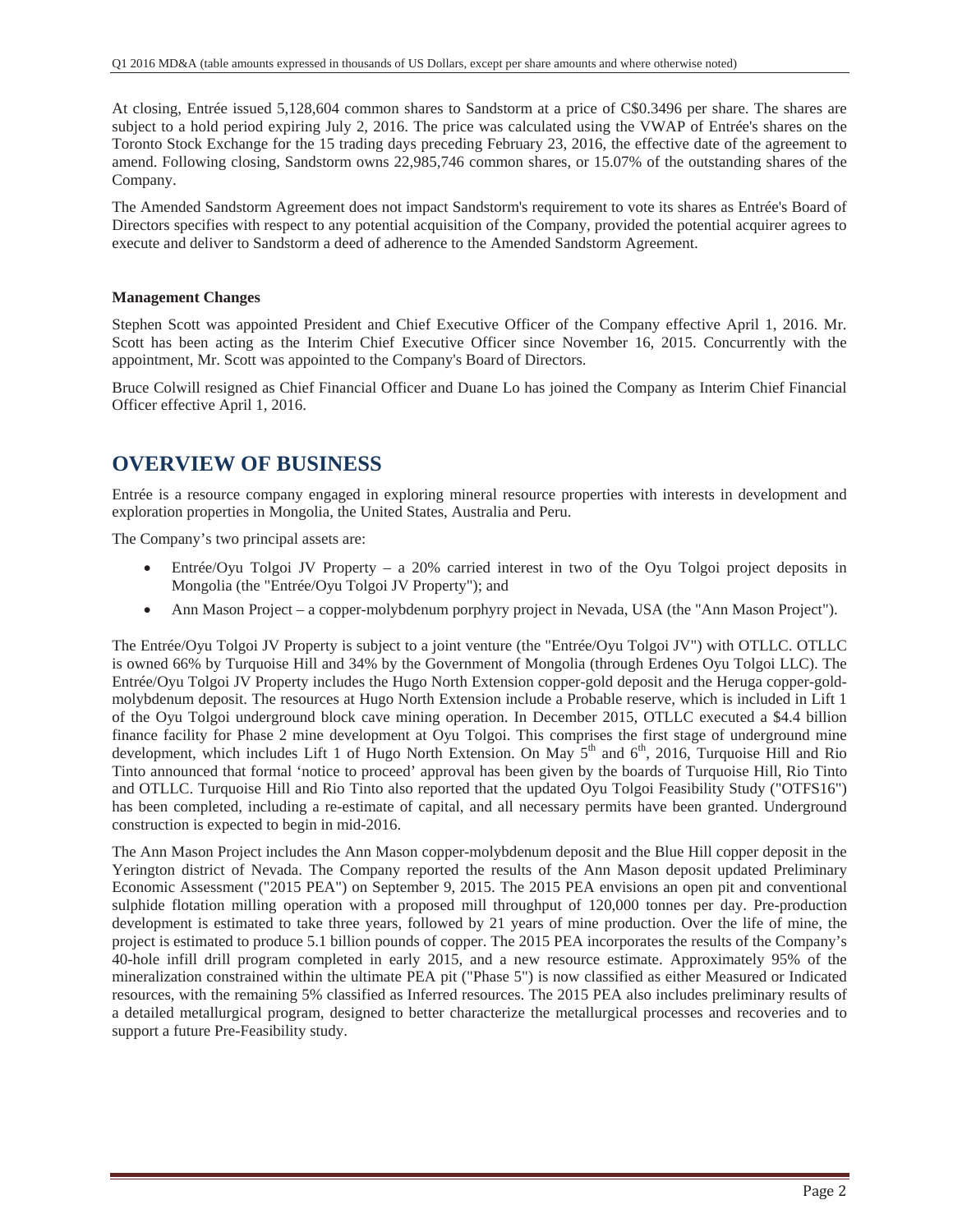At closing, Entrée issued 5,128,604 common shares to Sandstorm at a price of C\$0.3496 per share. The shares are subject to a hold period expiring July 2, 2016. The price was calculated using the VWAP of Entrée's shares on the Toronto Stock Exchange for the 15 trading days preceding February 23, 2016, the effective date of the agreement to amend. Following closing, Sandstorm owns 22,985,746 common shares, or 15.07% of the outstanding shares of the Company.

The Amended Sandstorm Agreement does not impact Sandstorm's requirement to vote its shares as Entrée's Board of Directors specifies with respect to any potential acquisition of the Company, provided the potential acquirer agrees to execute and deliver to Sandstorm a deed of adherence to the Amended Sandstorm Agreement.

#### **Management Changes**

Stephen Scott was appointed President and Chief Executive Officer of the Company effective April 1, 2016. Mr. Scott has been acting as the Interim Chief Executive Officer since November 16, 2015. Concurrently with the appointment, Mr. Scott was appointed to the Company's Board of Directors.

Bruce Colwill resigned as Chief Financial Officer and Duane Lo has joined the Company as Interim Chief Financial Officer effective April 1, 2016.

### **OVERVIEW OF BUSINESS**

Entrée is a resource company engaged in exploring mineral resource properties with interests in development and exploration properties in Mongolia, the United States, Australia and Peru.

The Company's two principal assets are:

- Entrée/Oyu Tolgoi JV Property a 20% carried interest in two of the Oyu Tolgoi project deposits in Mongolia (the "Entrée/Oyu Tolgoi JV Property"); and
- Ann Mason Project a copper-molybdenum porphyry project in Nevada, USA (the "Ann Mason Project").

The Entrée/Oyu Tolgoi JV Property is subject to a joint venture (the "Entrée/Oyu Tolgoi JV") with OTLLC. OTLLC is owned 66% by Turquoise Hill and 34% by the Government of Mongolia (through Erdenes Oyu Tolgoi LLC). The Entrée/Oyu Tolgoi JV Property includes the Hugo North Extension copper-gold deposit and the Heruga copper-goldmolybdenum deposit. The resources at Hugo North Extension include a Probable reserve, which is included in Lift 1 of the Oyu Tolgoi underground block cave mining operation. In December 2015, OTLLC executed a \$4.4 billion finance facility for Phase 2 mine development at Oyu Tolgoi. This comprises the first stage of underground mine development, which includes Lift 1 of Hugo North Extension. On May  $5<sup>th</sup>$  and  $6<sup>th</sup>$ , 2016, Turquoise Hill and Rio Tinto announced that formal 'notice to proceed' approval has been given by the boards of Turquoise Hill, Rio Tinto and OTLLC. Turquoise Hill and Rio Tinto also reported that the updated Oyu Tolgoi Feasibility Study ("OTFS16") has been completed, including a re-estimate of capital, and all necessary permits have been granted. Underground construction is expected to begin in mid-2016.

The Ann Mason Project includes the Ann Mason copper-molybdenum deposit and the Blue Hill copper deposit in the Yerington district of Nevada. The Company reported the results of the Ann Mason deposit updated Preliminary Economic Assessment ("2015 PEA") on September 9, 2015. The 2015 PEA envisions an open pit and conventional sulphide flotation milling operation with a proposed mill throughput of 120,000 tonnes per day. Pre-production development is estimated to take three years, followed by 21 years of mine production. Over the life of mine, the project is estimated to produce 5.1 billion pounds of copper. The 2015 PEA incorporates the results of the Company's 40-hole infill drill program completed in early 2015, and a new resource estimate. Approximately 95% of the mineralization constrained within the ultimate PEA pit ("Phase 5") is now classified as either Measured or Indicated resources, with the remaining 5% classified as Inferred resources. The 2015 PEA also includes preliminary results of a detailed metallurgical program, designed to better characterize the metallurgical processes and recoveries and to support a future Pre-Feasibility study.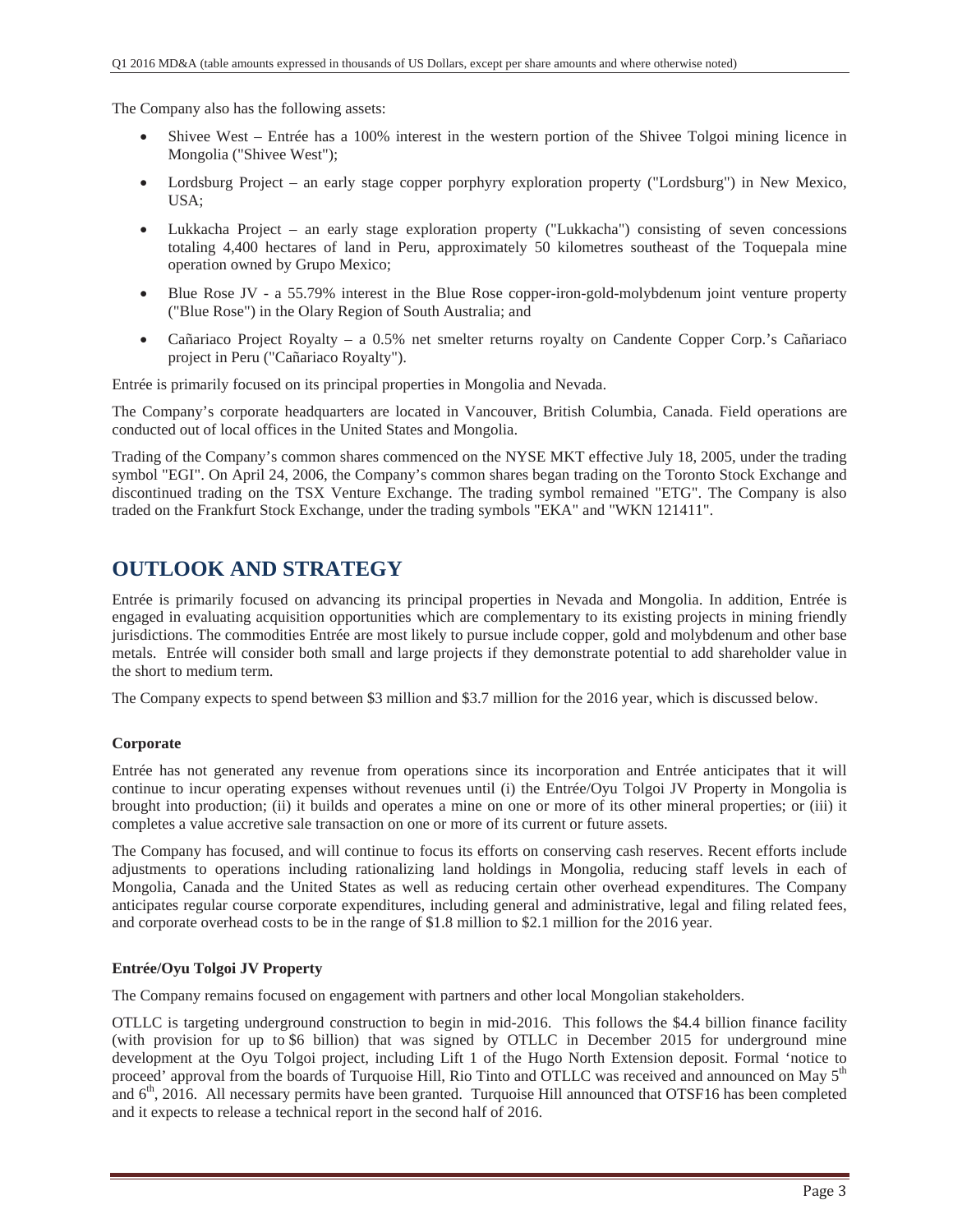The Company also has the following assets:

- x Shivee West Entrée has a 100% interest in the western portion of the Shivee Tolgoi mining licence in Mongolia ("Shivee West");
- Lordsburg Project an early stage copper porphyry exploration property ("Lordsburg") in New Mexico, USA;
- Lukkacha Project an early stage exploration property ("Lukkacha") consisting of seven concessions totaling 4,400 hectares of land in Peru, approximately 50 kilometres southeast of the Toquepala mine operation owned by Grupo Mexico;
- Blue Rose JV a 55.79% interest in the Blue Rose copper-iron-gold-molybdenum joint venture property ("Blue Rose") in the Olary Region of South Australia; and
- x Cañariaco Project Royalty a 0.5% net smelter returns royalty on Candente Copper Corp.'s Cañariaco project in Peru ("Cañariaco Royalty").

Entrée is primarily focused on its principal properties in Mongolia and Nevada.

The Company's corporate headquarters are located in Vancouver, British Columbia, Canada. Field operations are conducted out of local offices in the United States and Mongolia.

Trading of the Company's common shares commenced on the NYSE MKT effective July 18, 2005, under the trading symbol "EGI". On April 24, 2006, the Company's common shares began trading on the Toronto Stock Exchange and discontinued trading on the TSX Venture Exchange. The trading symbol remained "ETG". The Company is also traded on the Frankfurt Stock Exchange, under the trading symbols "EKA" and "WKN 121411".

### **OUTLOOK AND STRATEGY**

Entrée is primarily focused on advancing its principal properties in Nevada and Mongolia. In addition, Entrée is engaged in evaluating acquisition opportunities which are complementary to its existing projects in mining friendly jurisdictions. The commodities Entrée are most likely to pursue include copper, gold and molybdenum and other base metals. Entrée will consider both small and large projects if they demonstrate potential to add shareholder value in the short to medium term.

The Company expects to spend between \$3 million and \$3.7 million for the 2016 year, which is discussed below.

### **Corporate**

Entrée has not generated any revenue from operations since its incorporation and Entrée anticipates that it will continue to incur operating expenses without revenues until (i) the Entrée/Oyu Tolgoi JV Property in Mongolia is brought into production; (ii) it builds and operates a mine on one or more of its other mineral properties; or (iii) it completes a value accretive sale transaction on one or more of its current or future assets.

The Company has focused, and will continue to focus its efforts on conserving cash reserves. Recent efforts include adjustments to operations including rationalizing land holdings in Mongolia, reducing staff levels in each of Mongolia, Canada and the United States as well as reducing certain other overhead expenditures. The Company anticipates regular course corporate expenditures, including general and administrative, legal and filing related fees, and corporate overhead costs to be in the range of \$1.8 million to \$2.1 million for the 2016 year.

### **Entrée/Oyu Tolgoi JV Property**

The Company remains focused on engagement with partners and other local Mongolian stakeholders.

OTLLC is targeting underground construction to begin in mid-2016. This follows the \$4.4 billion finance facility (with provision for up to \$6 billion) that was signed by OTLLC in December 2015 for underground mine development at the Oyu Tolgoi project, including Lift 1 of the Hugo North Extension deposit. Formal 'notice to proceed' approval from the boards of Turquoise Hill, Rio Tinto and OTLLC was received and announced on May 5<sup>th</sup> and  $6<sup>th</sup>$ , 2016. All necessary permits have been granted. Turquoise Hill announced that OTSF16 has been completed and it expects to release a technical report in the second half of 2016.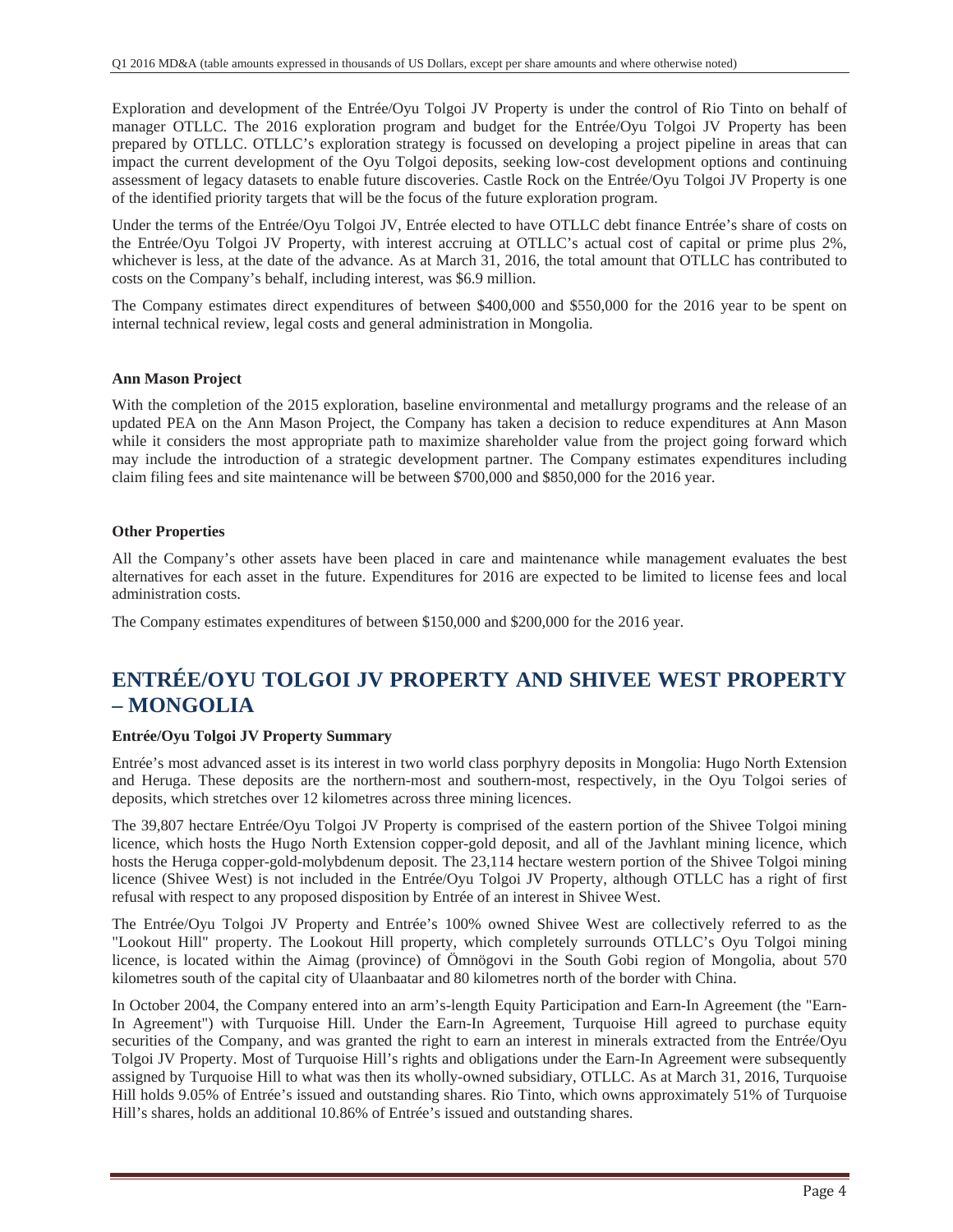Exploration and development of the Entrée/Oyu Tolgoi JV Property is under the control of Rio Tinto on behalf of manager OTLLC. The 2016 exploration program and budget for the Entrée/Oyu Tolgoi JV Property has been prepared by OTLLC. OTLLC's exploration strategy is focussed on developing a project pipeline in areas that can impact the current development of the Oyu Tolgoi deposits, seeking low-cost development options and continuing assessment of legacy datasets to enable future discoveries. Castle Rock on the Entrée/Oyu Tolgoi JV Property is one of the identified priority targets that will be the focus of the future exploration program.

Under the terms of the Entrée/Oyu Tolgoi JV, Entrée elected to have OTLLC debt finance Entrée's share of costs on the Entrée/Oyu Tolgoi JV Property, with interest accruing at OTLLC's actual cost of capital or prime plus 2%, whichever is less, at the date of the advance. As at March 31, 2016, the total amount that OTLLC has contributed to costs on the Company's behalf, including interest, was \$6.9 million.

The Company estimates direct expenditures of between \$400,000 and \$550,000 for the 2016 year to be spent on internal technical review, legal costs and general administration in Mongolia.

#### **Ann Mason Project**

With the completion of the 2015 exploration, baseline environmental and metallurgy programs and the release of an updated PEA on the Ann Mason Project, the Company has taken a decision to reduce expenditures at Ann Mason while it considers the most appropriate path to maximize shareholder value from the project going forward which may include the introduction of a strategic development partner. The Company estimates expenditures including claim filing fees and site maintenance will be between \$700,000 and \$850,000 for the 2016 year.

#### **Other Properties**

All the Company's other assets have been placed in care and maintenance while management evaluates the best alternatives for each asset in the future. Expenditures for 2016 are expected to be limited to license fees and local administration costs.

The Company estimates expenditures of between \$150,000 and \$200,000 for the 2016 year.

## **ENTRÉE/OYU TOLGOI JV PROPERTY AND SHIVEE WEST PROPERTY – MONGOLIA**

### **Entrée/Oyu Tolgoi JV Property Summary**

Entrée's most advanced asset is its interest in two world class porphyry deposits in Mongolia: Hugo North Extension and Heruga. These deposits are the northern-most and southern-most, respectively, in the Oyu Tolgoi series of deposits, which stretches over 12 kilometres across three mining licences.

The 39,807 hectare Entrée/Oyu Tolgoi JV Property is comprised of the eastern portion of the Shivee Tolgoi mining licence, which hosts the Hugo North Extension copper-gold deposit, and all of the Javhlant mining licence, which hosts the Heruga copper-gold-molybdenum deposit. The 23,114 hectare western portion of the Shivee Tolgoi mining licence (Shivee West) is not included in the Entrée/Oyu Tolgoi JV Property, although OTLLC has a right of first refusal with respect to any proposed disposition by Entrée of an interest in Shivee West.

The Entrée/Oyu Tolgoi JV Property and Entrée's 100% owned Shivee West are collectively referred to as the "Lookout Hill" property. The Lookout Hill property, which completely surrounds OTLLC's Oyu Tolgoi mining licence, is located within the Aimag (province) of Ömnögovi in the South Gobi region of Mongolia, about 570 kilometres south of the capital city of Ulaanbaatar and 80 kilometres north of the border with China.

In October 2004, the Company entered into an arm's-length Equity Participation and Earn-In Agreement (the "Earn-In Agreement") with Turquoise Hill. Under the Earn-In Agreement, Turquoise Hill agreed to purchase equity securities of the Company, and was granted the right to earn an interest in minerals extracted from the Entrée/Oyu Tolgoi JV Property. Most of Turquoise Hill's rights and obligations under the Earn-In Agreement were subsequently assigned by Turquoise Hill to what was then its wholly-owned subsidiary, OTLLC. As at March 31, 2016, Turquoise Hill holds 9.05% of Entrée's issued and outstanding shares. Rio Tinto, which owns approximately 51% of Turquoise Hill's shares, holds an additional 10.86% of Entrée's issued and outstanding shares.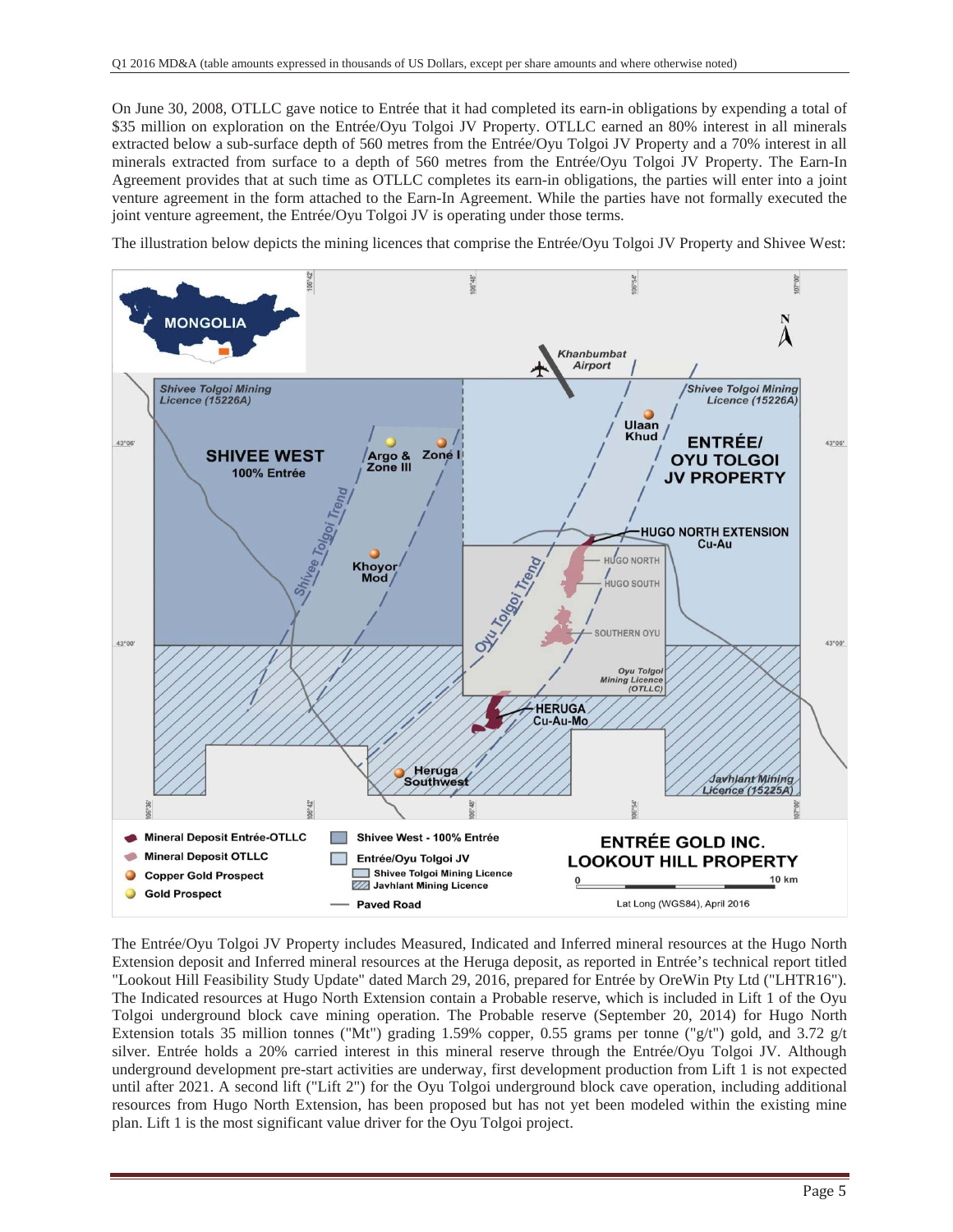On June 30, 2008, OTLLC gave notice to Entrée that it had completed its earn-in obligations by expending a total of \$35 million on exploration on the Entrée/Oyu Tolgoi JV Property. OTLLC earned an 80% interest in all minerals extracted below a sub-surface depth of 560 metres from the Entrée/Oyu Tolgoi JV Property and a 70% interest in all minerals extracted from surface to a depth of 560 metres from the Entrée/Oyu Tolgoi JV Property. The Earn-In Agreement provides that at such time as OTLLC completes its earn-in obligations, the parties will enter into a joint venture agreement in the form attached to the Earn-In Agreement. While the parties have not formally executed the joint venture agreement, the Entrée/Oyu Tolgoi JV is operating under those terms.

The illustration below depicts the mining licences that comprise the Entrée/Oyu Tolgoi JV Property and Shivee West:



The Entrée/Oyu Tolgoi JV Property includes Measured, Indicated and Inferred mineral resources at the Hugo North Extension deposit and Inferred mineral resources at the Heruga deposit, as reported in Entrée's technical report titled "Lookout Hill Feasibility Study Update" dated March 29, 2016, prepared for Entrée by OreWin Pty Ltd ("LHTR16"). The Indicated resources at Hugo North Extension contain a Probable reserve, which is included in Lift 1 of the Oyu Tolgoi underground block cave mining operation. The Probable reserve (September 20, 2014) for Hugo North Extension totals 35 million tonnes ("Mt") grading 1.59% copper, 0.55 grams per tonne ("g/t") gold, and 3.72 g/t silver. Entrée holds a 20% carried interest in this mineral reserve through the Entrée/Oyu Tolgoi JV. Although underground development pre-start activities are underway, first development production from Lift 1 is not expected until after 2021. A second lift ("Lift 2") for the Oyu Tolgoi underground block cave operation, including additional resources from Hugo North Extension, has been proposed but has not yet been modeled within the existing mine plan. Lift 1 is the most significant value driver for the Oyu Tolgoi project.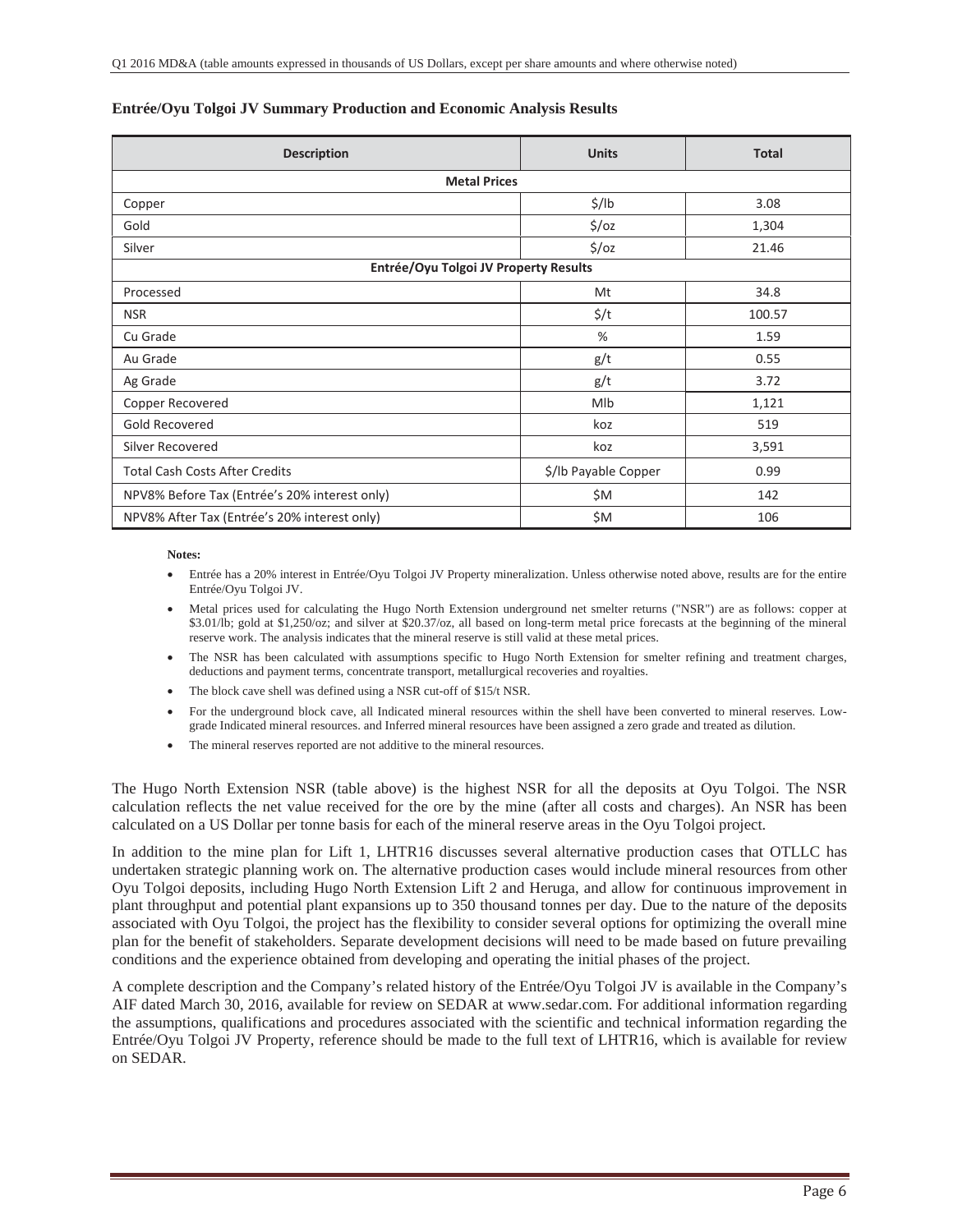| <b>Description</b>                            | <b>Units</b>         | <b>Total</b> |  |  |  |  |  |  |  |
|-----------------------------------------------|----------------------|--------------|--|--|--|--|--|--|--|
| <b>Metal Prices</b>                           |                      |              |  |  |  |  |  |  |  |
| Copper                                        | $\frac{1}{2}$ /lb    | 3.08         |  |  |  |  |  |  |  |
| Gold                                          | $\frac{2}{3}$ /oz    | 1,304        |  |  |  |  |  |  |  |
| Silver                                        | $\frac{2}{3}$ /oz    | 21.46        |  |  |  |  |  |  |  |
| Entrée/Oyu Tolgoi JV Property Results         |                      |              |  |  |  |  |  |  |  |
| Processed                                     | Mt                   | 34.8         |  |  |  |  |  |  |  |
| <b>NSR</b>                                    | $\frac{2}{3}$ /t     | 100.57       |  |  |  |  |  |  |  |
| Cu Grade                                      | %                    | 1.59         |  |  |  |  |  |  |  |
| Au Grade                                      | g/t                  | 0.55         |  |  |  |  |  |  |  |
| Ag Grade                                      | g/t                  | 3.72         |  |  |  |  |  |  |  |
| Copper Recovered                              | Mlb                  | 1,121        |  |  |  |  |  |  |  |
| Gold Recovered                                | koz                  | 519          |  |  |  |  |  |  |  |
| Silver Recovered                              | koz                  | 3,591        |  |  |  |  |  |  |  |
| <b>Total Cash Costs After Credits</b>         | \$/Ib Payable Copper | 0.99         |  |  |  |  |  |  |  |
| NPV8% Before Tax (Entrée's 20% interest only) | \$M                  | 142          |  |  |  |  |  |  |  |
| NPV8% After Tax (Entrée's 20% interest only)  | \$M                  | 106          |  |  |  |  |  |  |  |

### **Entrée/Oyu Tolgoi JV Summary Production and Economic Analysis Results**

**Notes:** 

- x Entrée has a 20% interest in Entrée/Oyu Tolgoi JV Property mineralization. Unless otherwise noted above, results are for the entire Entrée/Oyu Tolgoi JV.
- x Metal prices used for calculating the Hugo North Extension underground net smelter returns ("NSR") are as follows: copper at \$3.01/lb; gold at \$1,250/oz; and silver at \$20.37/oz, all based on long-term metal price forecasts at the beginning of the mineral reserve work. The analysis indicates that the mineral reserve is still valid at these metal prices.
- The NSR has been calculated with assumptions specific to Hugo North Extension for smelter refining and treatment charges, deductions and payment terms, concentrate transport, metallurgical recoveries and royalties.
- The block cave shell was defined using a NSR cut-off of \$15/t NSR.
- x For the underground block cave, all Indicated mineral resources within the shell have been converted to mineral reserves. Lowgrade Indicated mineral resources. and Inferred mineral resources have been assigned a zero grade and treated as dilution.
- The mineral reserves reported are not additive to the mineral resources.

The Hugo North Extension NSR (table above) is the highest NSR for all the deposits at Oyu Tolgoi. The NSR calculation reflects the net value received for the ore by the mine (after all costs and charges). An NSR has been calculated on a US Dollar per tonne basis for each of the mineral reserve areas in the Oyu Tolgoi project.

In addition to the mine plan for Lift 1, LHTR16 discusses several alternative production cases that OTLLC has undertaken strategic planning work on. The alternative production cases would include mineral resources from other Oyu Tolgoi deposits, including Hugo North Extension Lift 2 and Heruga, and allow for continuous improvement in plant throughput and potential plant expansions up to 350 thousand tonnes per day. Due to the nature of the deposits associated with Oyu Tolgoi, the project has the flexibility to consider several options for optimizing the overall mine plan for the benefit of stakeholders. Separate development decisions will need to be made based on future prevailing conditions and the experience obtained from developing and operating the initial phases of the project.

A complete description and the Company's related history of the Entrée/Oyu Tolgoi JV is available in the Company's AIF dated March 30, 2016, available for review on SEDAR at www.sedar.com. For additional information regarding the assumptions, qualifications and procedures associated with the scientific and technical information regarding the Entrée/Oyu Tolgoi JV Property, reference should be made to the full text of LHTR16, which is available for review on SEDAR.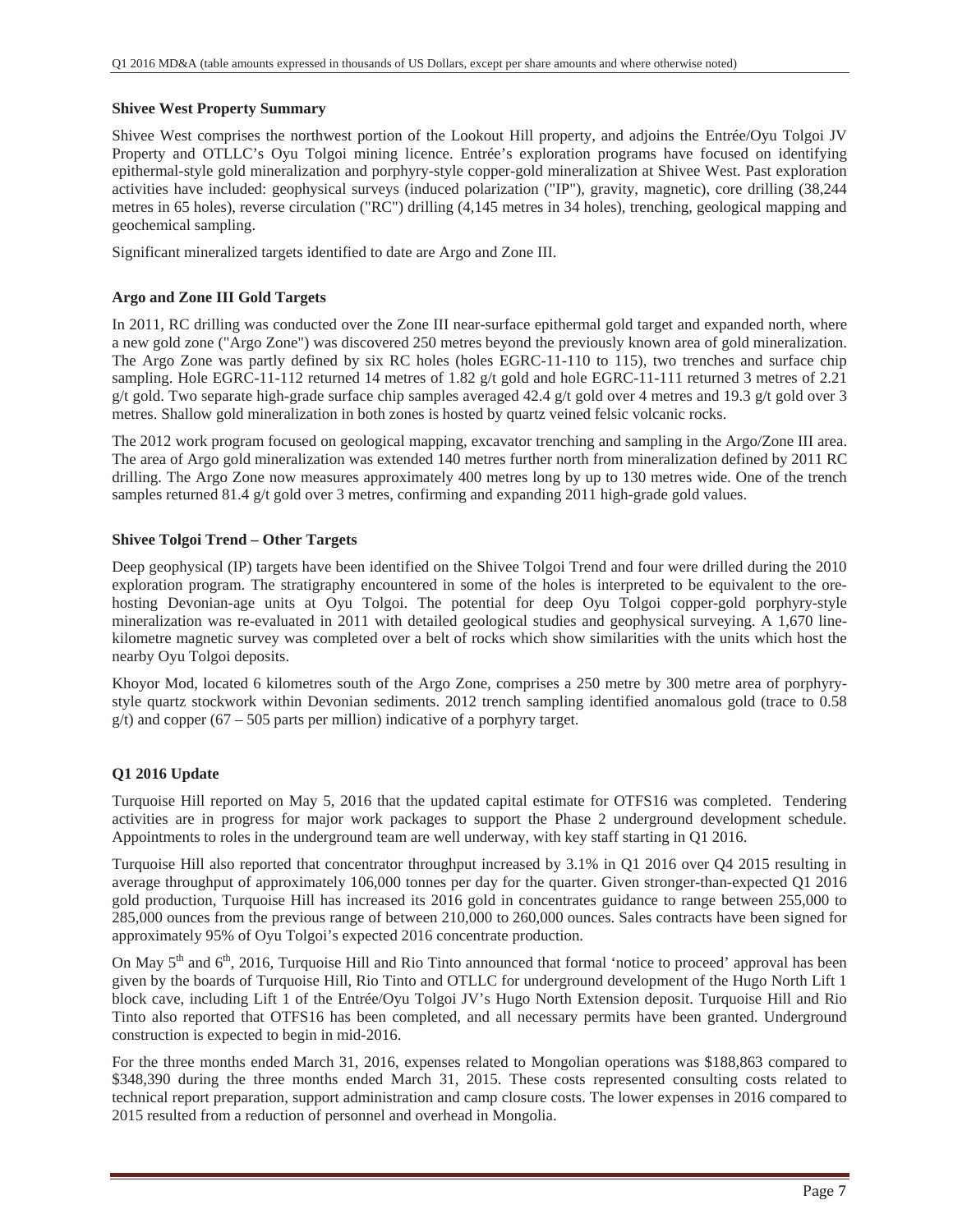#### **Shivee West Property Summary**

Shivee West comprises the northwest portion of the Lookout Hill property, and adjoins the Entrée/Oyu Tolgoi JV Property and OTLLC's Oyu Tolgoi mining licence. Entrée's exploration programs have focused on identifying epithermal-style gold mineralization and porphyry-style copper-gold mineralization at Shivee West. Past exploration activities have included: geophysical surveys (induced polarization ("IP"), gravity, magnetic), core drilling (38,244 metres in 65 holes), reverse circulation ("RC") drilling (4,145 metres in 34 holes), trenching, geological mapping and geochemical sampling.

Significant mineralized targets identified to date are Argo and Zone III.

### **Argo and Zone III Gold Targets**

In 2011, RC drilling was conducted over the Zone III near-surface epithermal gold target and expanded north, where a new gold zone ("Argo Zone") was discovered 250 metres beyond the previously known area of gold mineralization. The Argo Zone was partly defined by six RC holes (holes EGRC-11-110 to 115), two trenches and surface chip sampling. Hole EGRC-11-112 returned 14 metres of 1.82 g/t gold and hole EGRC-11-111 returned 3 metres of 2.21 g/t gold. Two separate high-grade surface chip samples averaged 42.4 g/t gold over 4 metres and 19.3 g/t gold over 3 metres. Shallow gold mineralization in both zones is hosted by quartz veined felsic volcanic rocks.

The 2012 work program focused on geological mapping, excavator trenching and sampling in the Argo/Zone III area. The area of Argo gold mineralization was extended 140 metres further north from mineralization defined by 2011 RC drilling. The Argo Zone now measures approximately 400 metres long by up to 130 metres wide. One of the trench samples returned 81.4 g/t gold over 3 metres, confirming and expanding 2011 high-grade gold values.

#### **Shivee Tolgoi Trend – Other Targets**

Deep geophysical (IP) targets have been identified on the Shivee Tolgoi Trend and four were drilled during the 2010 exploration program. The stratigraphy encountered in some of the holes is interpreted to be equivalent to the orehosting Devonian-age units at Oyu Tolgoi. The potential for deep Oyu Tolgoi copper-gold porphyry-style mineralization was re-evaluated in 2011 with detailed geological studies and geophysical surveying. A 1,670 linekilometre magnetic survey was completed over a belt of rocks which show similarities with the units which host the nearby Oyu Tolgoi deposits.

Khoyor Mod, located 6 kilometres south of the Argo Zone, comprises a 250 metre by 300 metre area of porphyrystyle quartz stockwork within Devonian sediments. 2012 trench sampling identified anomalous gold (trace to 0.58  $g(t)$  and copper (67 – 505 parts per million) indicative of a porphyry target.

### **Q1 2016 Update**

Turquoise Hill reported on May 5, 2016 that the updated capital estimate for OTFS16 was completed. Tendering activities are in progress for major work packages to support the Phase 2 underground development schedule. Appointments to roles in the underground team are well underway, with key staff starting in Q1 2016.

Turquoise Hill also reported that concentrator throughput increased by 3.1% in Q1 2016 over Q4 2015 resulting in average throughput of approximately 106,000 tonnes per day for the quarter. Given stronger-than-expected Q1 2016 gold production, Turquoise Hill has increased its 2016 gold in concentrates guidance to range between 255,000 to 285,000 ounces from the previous range of between 210,000 to 260,000 ounces. Sales contracts have been signed for approximately 95% of Oyu Tolgoi's expected 2016 concentrate production.

On May 5<sup>th</sup> and 6<sup>th</sup>, 2016, Turquoise Hill and Rio Tinto announced that formal 'notice to proceed' approval has been given by the boards of Turquoise Hill, Rio Tinto and OTLLC for underground development of the Hugo North Lift 1 block cave, including Lift 1 of the Entrée/Oyu Tolgoi JV's Hugo North Extension deposit. Turquoise Hill and Rio Tinto also reported that OTFS16 has been completed, and all necessary permits have been granted. Underground construction is expected to begin in mid-2016.

For the three months ended March 31, 2016, expenses related to Mongolian operations was \$188,863 compared to \$348,390 during the three months ended March 31, 2015. These costs represented consulting costs related to technical report preparation, support administration and camp closure costs. The lower expenses in 2016 compared to 2015 resulted from a reduction of personnel and overhead in Mongolia.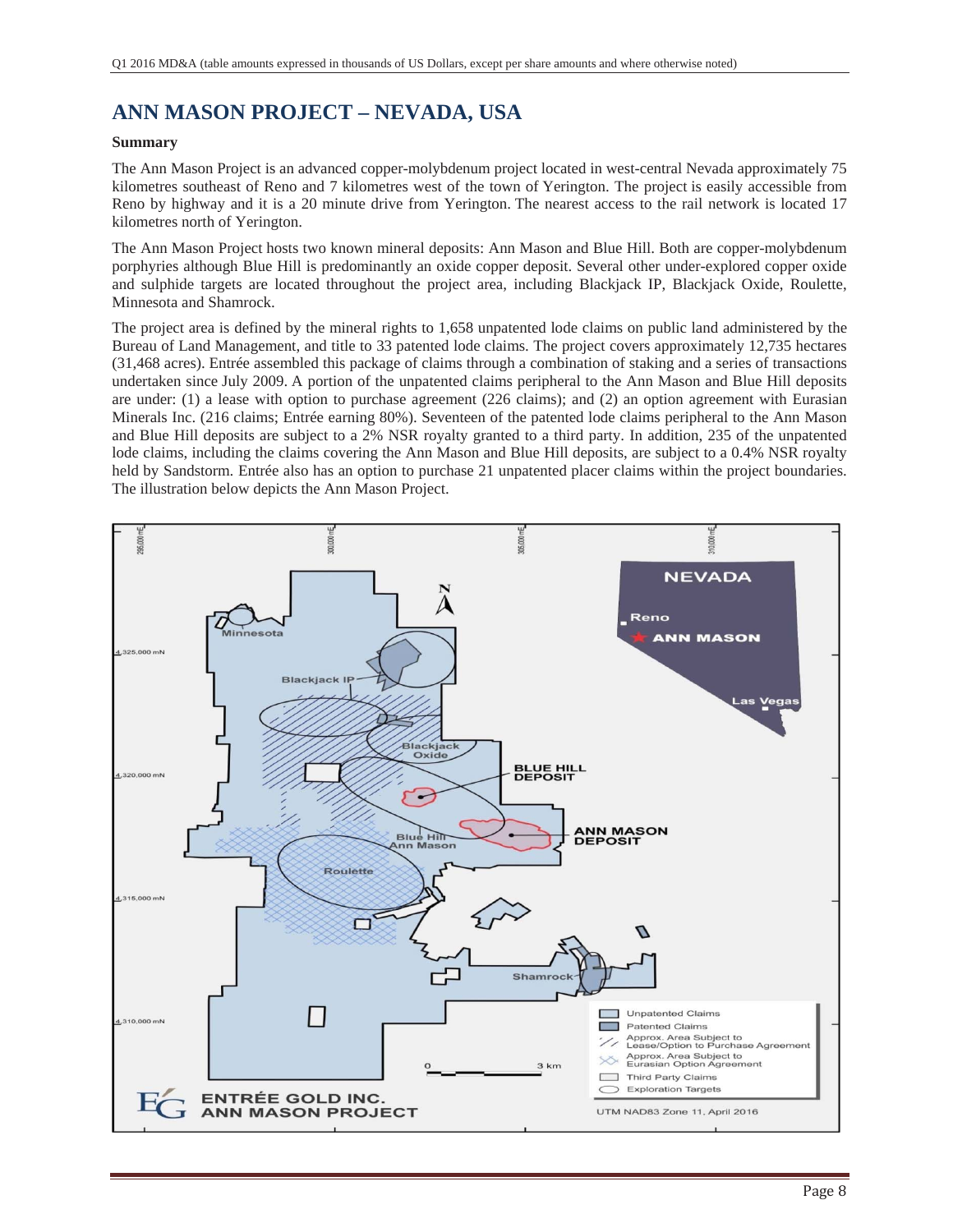# **ANN MASON PROJECT – NEVADA, USA**

### **Summary**

The Ann Mason Project is an advanced copper-molybdenum project located in west-central Nevada approximately 75 kilometres southeast of Reno and 7 kilometres west of the town of Yerington. The project is easily accessible from Reno by highway and it is a 20 minute drive from Yerington. The nearest access to the rail network is located 17 kilometres north of Yerington.

The Ann Mason Project hosts two known mineral deposits: Ann Mason and Blue Hill. Both are copper-molybdenum porphyries although Blue Hill is predominantly an oxide copper deposit. Several other under-explored copper oxide and sulphide targets are located throughout the project area, including Blackjack IP, Blackjack Oxide, Roulette, Minnesota and Shamrock.

The project area is defined by the mineral rights to 1,658 unpatented lode claims on public land administered by the Bureau of Land Management, and title to 33 patented lode claims. The project covers approximately 12,735 hectares (31,468 acres). Entrée assembled this package of claims through a combination of staking and a series of transactions undertaken since July 2009. A portion of the unpatented claims peripheral to the Ann Mason and Blue Hill deposits are under: (1) a lease with option to purchase agreement (226 claims); and (2) an option agreement with Eurasian Minerals Inc. (216 claims; Entrée earning 80%). Seventeen of the patented lode claims peripheral to the Ann Mason and Blue Hill deposits are subject to a 2% NSR royalty granted to a third party. In addition, 235 of the unpatented lode claims, including the claims covering the Ann Mason and Blue Hill deposits, are subject to a 0.4% NSR royalty held by Sandstorm. Entrée also has an option to purchase 21 unpatented placer claims within the project boundaries. The illustration below depicts the Ann Mason Project.

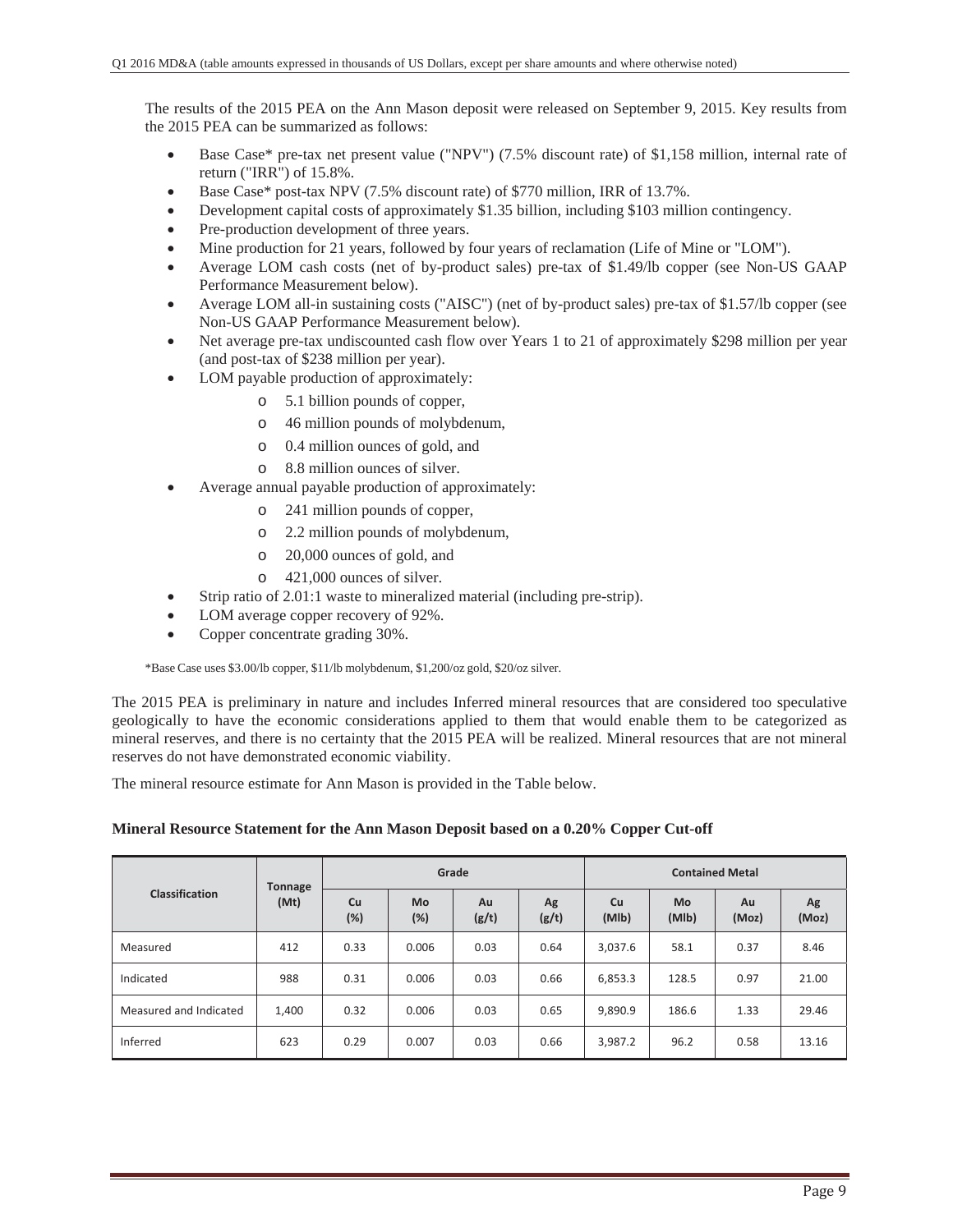The results of the 2015 PEA on the Ann Mason deposit were released on September 9, 2015. Key results from the 2015 PEA can be summarized as follows:

- x Base Case\* pre-tax net present value ("NPV") (7.5% discount rate) of \$1,158 million, internal rate of return ("IRR") of 15.8%.
- Base Case\* post-tax NPV  $(7.5\%$  discount rate) of \$770 million, IRR of 13.7%.
- Development capital costs of approximately \$1.35 billion, including \$103 million contingency.
- Pre-production development of three years.
- Mine production for 21 years, followed by four years of reclamation (Life of Mine or "LOM").
- x Average LOM cash costs (net of by-product sales) pre-tax of \$1.49/lb copper (see Non-US GAAP Performance Measurement below).
- x Average LOM all-in sustaining costs ("AISC") (net of by-product sales) pre-tax of \$1.57/lb copper (see Non-US GAAP Performance Measurement below).
- Net average pre-tax undiscounted cash flow over Years 1 to 21 of approximately \$298 million per year (and post-tax of \$238 million per year).
- LOM payable production of approximately:
	- o 5.1 billion pounds of copper,
	- o 46 million pounds of molybdenum,
	- o 0.4 million ounces of gold, and
	- o 8.8 million ounces of silver.
- Average annual payable production of approximately:
	- o 241 million pounds of copper,
	- o 2.2 million pounds of molybdenum,
	- o 20,000 ounces of gold, and
	- o 421,000 ounces of silver.
- Strip ratio of 2.01:1 waste to mineralized material (including pre-strip).
- LOM average copper recovery of 92%.
- Copper concentrate grading  $30\%$ .

\*Base Case uses \$3.00/lb copper, \$11/lb molybdenum, \$1,200/oz gold, \$20/oz silver.

The 2015 PEA is preliminary in nature and includes Inferred mineral resources that are considered too speculative geologically to have the economic considerations applied to them that would enable them to be categorized as mineral reserves, and there is no certainty that the 2015 PEA will be realized. Mineral resources that are not mineral reserves do not have demonstrated economic viability.

The mineral resource estimate for Ann Mason is provided in the Table below.

### **Mineral Resource Statement for the Ann Mason Deposit based on a 0.20% Copper Cut-off**

|                        | <b>Tonnage</b> |           | Grade     |             |             | <b>Contained Metal</b> |                    |             |             |  |  |
|------------------------|----------------|-----------|-----------|-------------|-------------|------------------------|--------------------|-------------|-------------|--|--|
| Classification         | (Mt)           | Cu<br>(%) | Mo<br>(%) | Au<br>(g/t) | Ag<br>(g/t) | Cu<br>(MIb)            | <b>Mo</b><br>(MIb) | Au<br>(Moz) | Ag<br>(Moz) |  |  |
| Measured               | 412            | 0.33      | 0.006     | 0.03        | 0.64        | 3,037.6                | 58.1               | 0.37        | 8.46        |  |  |
| Indicated              | 988            | 0.31      | 0.006     | 0.03        | 0.66        | 6,853.3                | 128.5              | 0.97        | 21.00       |  |  |
| Measured and Indicated | 1,400          | 0.32      | 0.006     | 0.03        | 0.65        | 9,890.9                | 186.6              | 1.33        | 29.46       |  |  |
| Inferred               | 623            | 0.29      | 0.007     | 0.03        | 0.66        | 3,987.2                | 96.2               | 0.58        | 13.16       |  |  |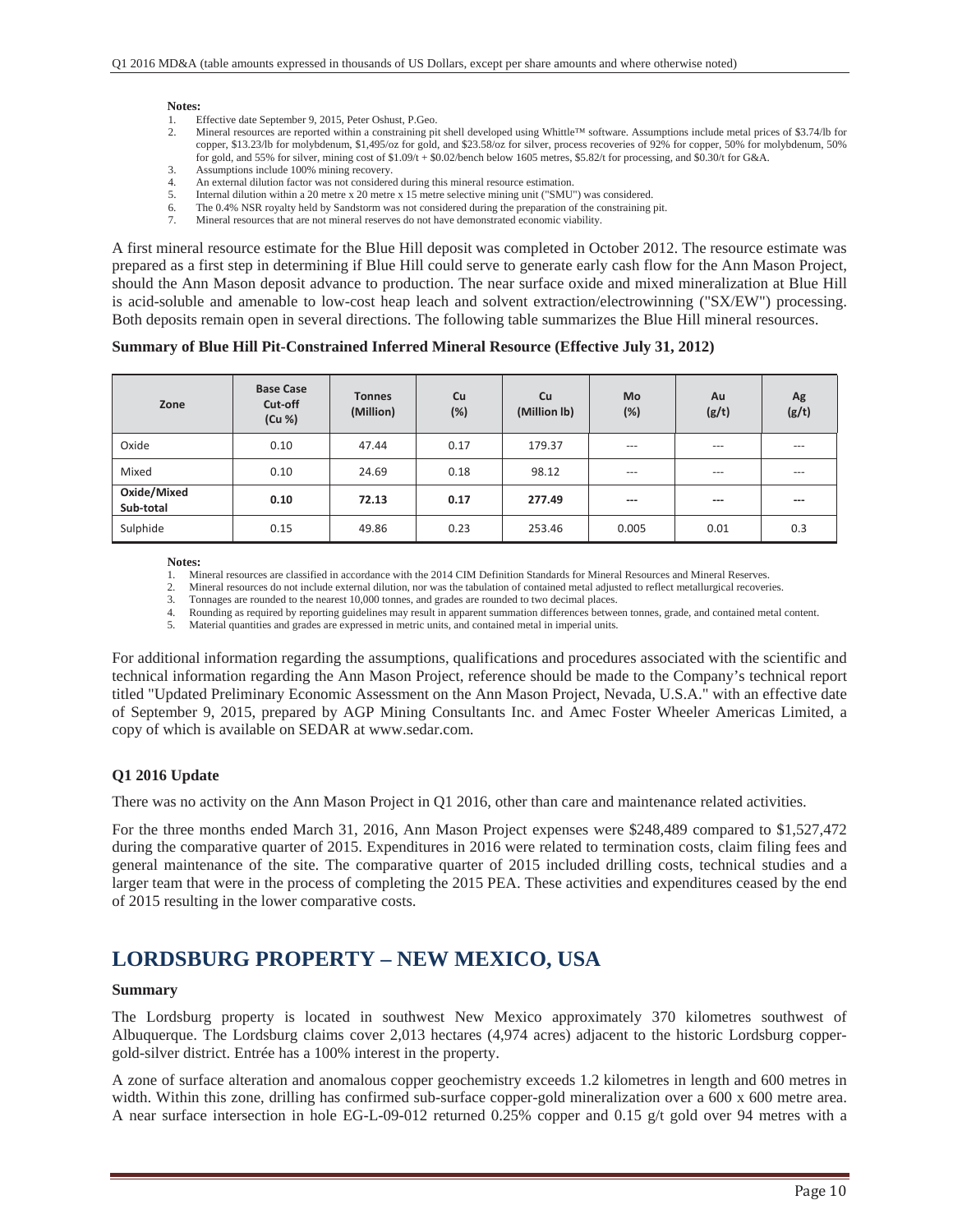#### **Notes:**

- 1. Effective date September 9, 2015, Peter Oshust, P.Geo.
- 2. Mineral resources are reported within a constraining pit shell developed using Whittle™ software. Assumptions include metal prices of \$3.74/lb for copper, \$13.23/lb for molybdenum, \$1,495/oz for gold, and \$23.58/oz for silver, process recoveries of 92% for copper, 50% for molybdenum, 50% for gold, and 55% for silver, mining cost of \$1.09/t + \$0.02/bench below 1605 metres, \$5.82/t for processing, and \$0.30/t for G&A.
- 3. Assumptions include 100% mining recovery.
- 4. An external dilution factor was not considered during this mineral resource estimation.
- 5. Internal dilution within a 20 metre x 20 metre x 15 metre selective mining unit ("SMU") was considered.
- 6. The 0.4% NSR royalty held by Sandstorm was not considered during the preparation of the constraining pit.
- 7. Mineral resources that are not mineral reserves do not have demonstrated economic viability.

A first mineral resource estimate for the Blue Hill deposit was completed in October 2012. The resource estimate was prepared as a first step in determining if Blue Hill could serve to generate early cash flow for the Ann Mason Project, should the Ann Mason deposit advance to production. The near surface oxide and mixed mineralization at Blue Hill is acid-soluble and amenable to low-cost heap leach and solvent extraction/electrowinning ("SX/EW") processing. Both deposits remain open in several directions. The following table summarizes the Blue Hill mineral resources.

#### **Summary of Blue Hill Pit-Constrained Inferred Mineral Resource (Effective July 31, 2012)**

| Zone                     | <b>Base Case</b><br>Cut-off<br>(Cu %) | <b>Tonnes</b><br>(Million) | <b>Cu</b><br>(%) | <b>Mo</b><br>Cu<br>(%)<br>(Million lb) |       | Au<br>(g/t) | Ag<br>(g/t) |
|--------------------------|---------------------------------------|----------------------------|------------------|----------------------------------------|-------|-------------|-------------|
| Oxide                    | 0.10                                  | 47.44                      | 0.17             | 179.37                                 | $---$ | $---$       | $---$       |
| Mixed                    | 0.10                                  | 24.69                      | 0.18             | 98.12                                  | $---$ | $---$       | $---$       |
| Oxide/Mixed<br>Sub-total | 0.10                                  | 72.13                      | 0.17             | 277.49                                 | $---$ | $---$       | ---         |
| Sulphide                 | 0.15                                  | 49.86                      | 0.23             | 253.46                                 | 0.005 | 0.01        | 0.3         |

**Notes:** 

1. Mineral resources are classified in accordance with the 2014 CIM Definition Standards for Mineral Resources and Mineral Reserves.

2. Mineral resources do not include external dilution, nor was the tabulation of contained metal adjusted to reflect metallurgical recoveries.<br>3. Tonnages are rounded to the nearest 10.000 tonnes, and grades are rounded to

Tonnages are rounded to the nearest 10,000 tonnes, and grades are rounded to two decimal places.

4. Rounding as required by reporting guidelines may result in apparent summation differences between tonnes, grade, and contained metal content.

5. Material quantities and grades are expressed in metric units, and contained metal in imperial units.

For additional information regarding the assumptions, qualifications and procedures associated with the scientific and technical information regarding the Ann Mason Project, reference should be made to the Company's technical report titled "Updated Preliminary Economic Assessment on the Ann Mason Project, Nevada, U.S.A." with an effective date of September 9, 2015, prepared by AGP Mining Consultants Inc. and Amec Foster Wheeler Americas Limited, a copy of which is available on SEDAR at www.sedar.com.

#### **Q1 2016 Update**

There was no activity on the Ann Mason Project in Q1 2016, other than care and maintenance related activities.

For the three months ended March 31, 2016, Ann Mason Project expenses were \$248,489 compared to \$1,527,472 during the comparative quarter of 2015. Expenditures in 2016 were related to termination costs, claim filing fees and general maintenance of the site. The comparative quarter of 2015 included drilling costs, technical studies and a larger team that were in the process of completing the 2015 PEA. These activities and expenditures ceased by the end of 2015 resulting in the lower comparative costs.

### **LORDSBURG PROPERTY – NEW MEXICO, USA**

#### **Summary**

The Lordsburg property is located in southwest New Mexico approximately 370 kilometres southwest of Albuquerque. The Lordsburg claims cover 2,013 hectares (4,974 acres) adjacent to the historic Lordsburg coppergold-silver district. Entrée has a 100% interest in the property.

A zone of surface alteration and anomalous copper geochemistry exceeds 1.2 kilometres in length and 600 metres in width. Within this zone, drilling has confirmed sub-surface copper-gold mineralization over a 600 x 600 metre area. A near surface intersection in hole EG-L-09-012 returned 0.25% copper and 0.15 g/t gold over 94 metres with a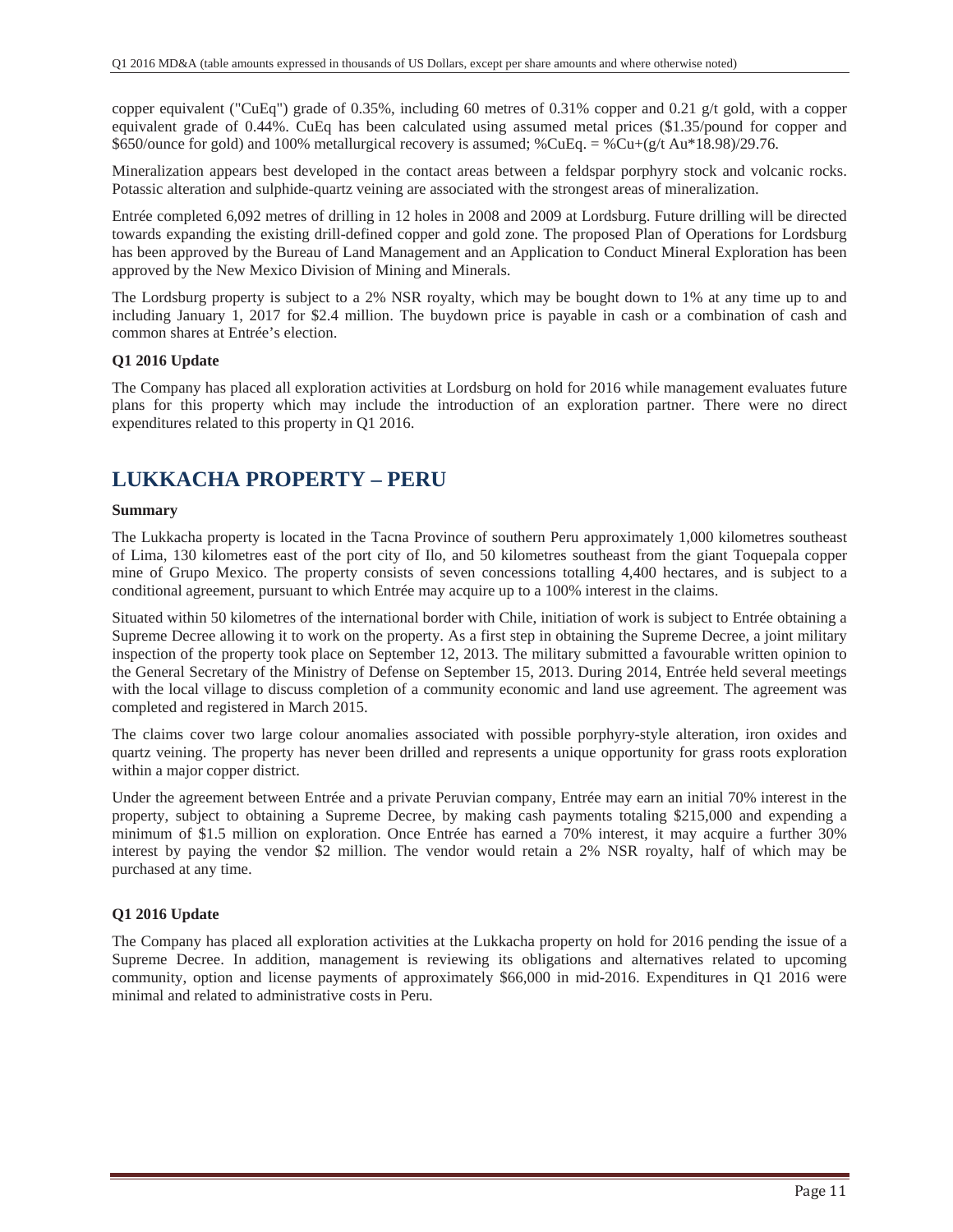copper equivalent ("CuEq") grade of 0.35%, including 60 metres of 0.31% copper and 0.21 g/t gold, with a copper equivalent grade of 0.44%. CuEq has been calculated using assumed metal prices (\$1.35/pound for copper and \$650/ounce for gold) and 100% metallurgical recovery is assumed; %CuEq. = %Cu+(g/t Au\*18.98)/29.76.

Mineralization appears best developed in the contact areas between a feldspar porphyry stock and volcanic rocks. Potassic alteration and sulphide-quartz veining are associated with the strongest areas of mineralization.

Entrée completed 6,092 metres of drilling in 12 holes in 2008 and 2009 at Lordsburg. Future drilling will be directed towards expanding the existing drill-defined copper and gold zone. The proposed Plan of Operations for Lordsburg has been approved by the Bureau of Land Management and an Application to Conduct Mineral Exploration has been approved by the New Mexico Division of Mining and Minerals.

The Lordsburg property is subject to a 2% NSR royalty, which may be bought down to 1% at any time up to and including January 1, 2017 for \$2.4 million. The buydown price is payable in cash or a combination of cash and common shares at Entrée's election.

### **Q1 2016 Update**

The Company has placed all exploration activities at Lordsburg on hold for 2016 while management evaluates future plans for this property which may include the introduction of an exploration partner. There were no direct expenditures related to this property in Q1 2016.

### **LUKKACHA PROPERTY – PERU**

#### **Summary**

The Lukkacha property is located in the Tacna Province of southern Peru approximately 1,000 kilometres southeast of Lima, 130 kilometres east of the port city of Ilo, and 50 kilometres southeast from the giant Toquepala copper mine of Grupo Mexico. The property consists of seven concessions totalling 4,400 hectares, and is subject to a conditional agreement, pursuant to which Entrée may acquire up to a 100% interest in the claims.

Situated within 50 kilometres of the international border with Chile, initiation of work is subject to Entrée obtaining a Supreme Decree allowing it to work on the property. As a first step in obtaining the Supreme Decree, a joint military inspection of the property took place on September 12, 2013. The military submitted a favourable written opinion to the General Secretary of the Ministry of Defense on September 15, 2013. During 2014, Entrée held several meetings with the local village to discuss completion of a community economic and land use agreement. The agreement was completed and registered in March 2015.

The claims cover two large colour anomalies associated with possible porphyry-style alteration, iron oxides and quartz veining. The property has never been drilled and represents a unique opportunity for grass roots exploration within a major copper district.

Under the agreement between Entrée and a private Peruvian company, Entrée may earn an initial 70% interest in the property, subject to obtaining a Supreme Decree, by making cash payments totaling \$215,000 and expending a minimum of \$1.5 million on exploration. Once Entrée has earned a 70% interest, it may acquire a further 30% interest by paying the vendor \$2 million. The vendor would retain a 2% NSR royalty, half of which may be purchased at any time.

### **Q1 2016 Update**

The Company has placed all exploration activities at the Lukkacha property on hold for 2016 pending the issue of a Supreme Decree. In addition, management is reviewing its obligations and alternatives related to upcoming community, option and license payments of approximately \$66,000 in mid-2016. Expenditures in Q1 2016 were minimal and related to administrative costs in Peru.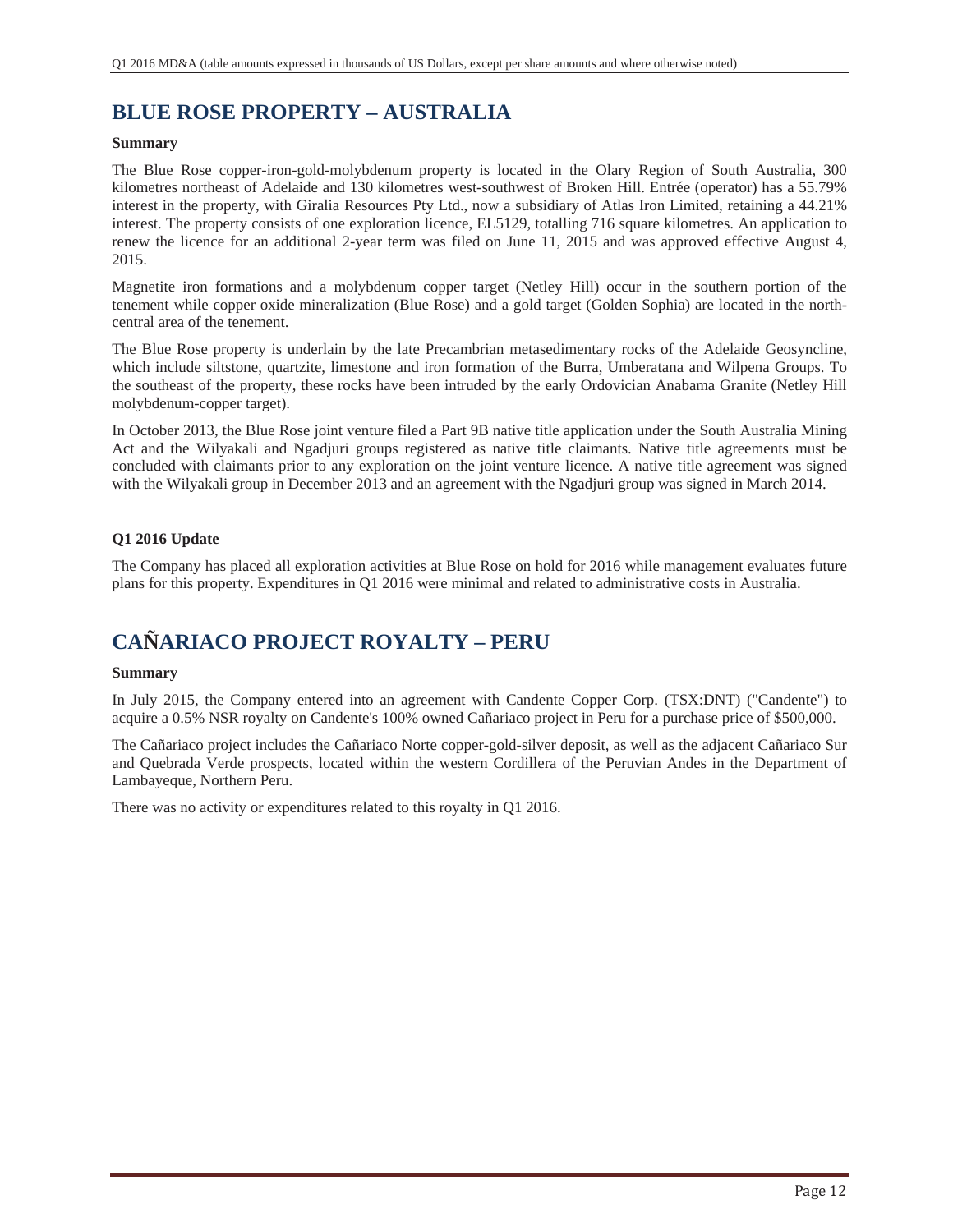# **BLUE ROSE PROPERTY – AUSTRALIA**

### **Summary**

The Blue Rose copper-iron-gold-molybdenum property is located in the Olary Region of South Australia, 300 kilometres northeast of Adelaide and 130 kilometres west-southwest of Broken Hill. Entrée (operator) has a 55.79% interest in the property, with Giralia Resources Pty Ltd., now a subsidiary of Atlas Iron Limited, retaining a 44.21% interest. The property consists of one exploration licence, EL5129, totalling 716 square kilometres. An application to renew the licence for an additional 2-year term was filed on June 11, 2015 and was approved effective August 4, 2015.

Magnetite iron formations and a molybdenum copper target (Netley Hill) occur in the southern portion of the tenement while copper oxide mineralization (Blue Rose) and a gold target (Golden Sophia) are located in the northcentral area of the tenement.

The Blue Rose property is underlain by the late Precambrian metasedimentary rocks of the Adelaide Geosyncline, which include siltstone, quartzite, limestone and iron formation of the Burra, Umberatana and Wilpena Groups. To the southeast of the property, these rocks have been intruded by the early Ordovician Anabama Granite (Netley Hill molybdenum-copper target).

In October 2013, the Blue Rose joint venture filed a Part 9B native title application under the South Australia Mining Act and the Wilyakali and Ngadjuri groups registered as native title claimants. Native title agreements must be concluded with claimants prior to any exploration on the joint venture licence. A native title agreement was signed with the Wilyakali group in December 2013 and an agreement with the Ngadjuri group was signed in March 2014.

### **Q1 2016 Update**

The Company has placed all exploration activities at Blue Rose on hold for 2016 while management evaluates future plans for this property. Expenditures in Q1 2016 were minimal and related to administrative costs in Australia.

## **CAÑARIACO PROJECT ROYALTY – PERU**

### **Summary**

In July 2015, the Company entered into an agreement with Candente Copper Corp. (TSX:DNT) ("Candente") to acquire a 0.5% NSR royalty on Candente's 100% owned Cañariaco project in Peru for a purchase price of \$500,000.

The Cañariaco project includes the Cañariaco Norte copper-gold-silver deposit, as well as the adjacent Cañariaco Sur and Quebrada Verde prospects, located within the western Cordillera of the Peruvian Andes in the Department of Lambayeque, Northern Peru.

There was no activity or expenditures related to this royalty in Q1 2016.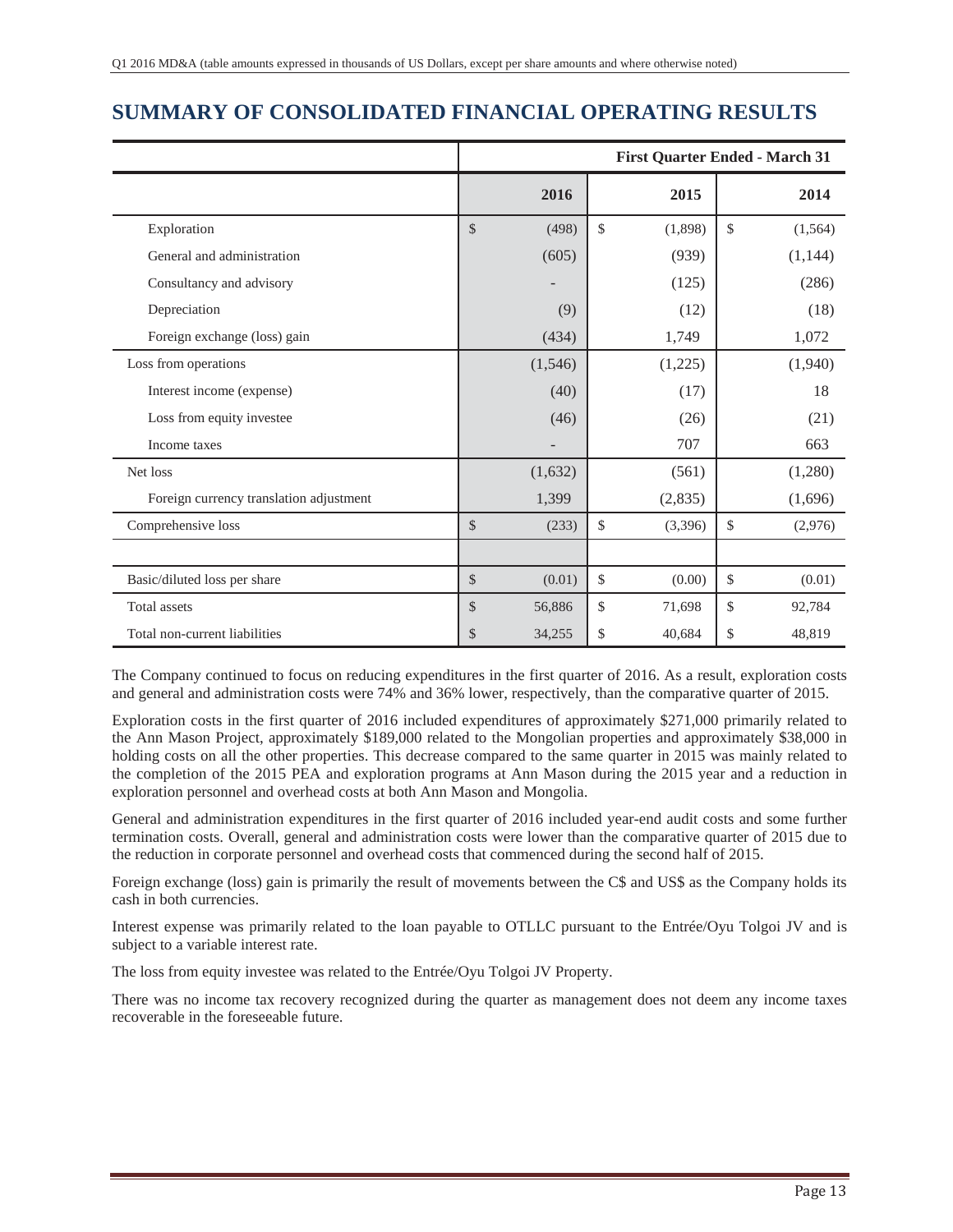## **SUMMARY OF CONSOLIDATED FINANCIAL OPERATING RESULTS**

|                                         |               | <b>First Quarter Ended - March 31</b> |    |         |              |          |  |
|-----------------------------------------|---------------|---------------------------------------|----|---------|--------------|----------|--|
|                                         |               | 2016                                  |    | 2015    |              | 2014     |  |
| Exploration                             | $\mathcal{S}$ | (498)                                 | \$ | (1,898) | $\mathbb{S}$ | (1, 564) |  |
| General and administration              |               | (605)                                 |    | (939)   |              | (1, 144) |  |
| Consultancy and advisory                |               |                                       |    | (125)   |              | (286)    |  |
| Depreciation                            |               | (9)                                   |    | (12)    |              | (18)     |  |
| Foreign exchange (loss) gain            |               | (434)                                 |    | 1,749   |              | 1,072    |  |
| Loss from operations                    |               | (1,546)                               |    | (1,225) |              | (1,940)  |  |
| Interest income (expense)               |               | (40)                                  |    | (17)    |              | 18       |  |
| Loss from equity investee               |               | (46)                                  |    | (26)    |              | (21)     |  |
| Income taxes                            |               |                                       |    | 707     |              | 663      |  |
| Net loss                                |               | (1,632)                               |    | (561)   |              | (1,280)  |  |
| Foreign currency translation adjustment |               | 1,399                                 |    | (2,835) |              | (1,696)  |  |
| Comprehensive loss                      | $\mathcal{S}$ | (233)                                 | \$ | (3,396) | \$           | (2,976)  |  |
|                                         |               |                                       |    |         |              |          |  |
| Basic/diluted loss per share            | $\mathcal{S}$ | (0.01)                                | \$ | (0.00)  | \$           | (0.01)   |  |
| Total assets                            | $\mathcal{S}$ | 56,886                                | \$ | 71,698  | \$           | 92,784   |  |
| Total non-current liabilities           | \$            | 34,255                                | \$ | 40,684  | \$           | 48,819   |  |

The Company continued to focus on reducing expenditures in the first quarter of 2016. As a result, exploration costs and general and administration costs were 74% and 36% lower, respectively, than the comparative quarter of 2015.

Exploration costs in the first quarter of 2016 included expenditures of approximately \$271,000 primarily related to the Ann Mason Project, approximately \$189,000 related to the Mongolian properties and approximately \$38,000 in holding costs on all the other properties. This decrease compared to the same quarter in 2015 was mainly related to the completion of the 2015 PEA and exploration programs at Ann Mason during the 2015 year and a reduction in exploration personnel and overhead costs at both Ann Mason and Mongolia.

General and administration expenditures in the first quarter of 2016 included year-end audit costs and some further termination costs. Overall, general and administration costs were lower than the comparative quarter of 2015 due to the reduction in corporate personnel and overhead costs that commenced during the second half of 2015.

Foreign exchange (loss) gain is primarily the result of movements between the C\$ and US\$ as the Company holds its cash in both currencies.

Interest expense was primarily related to the loan payable to OTLLC pursuant to the Entrée/Oyu Tolgoi JV and is subject to a variable interest rate.

The loss from equity investee was related to the Entrée/Oyu Tolgoi JV Property.

There was no income tax recovery recognized during the quarter as management does not deem any income taxes recoverable in the foreseeable future.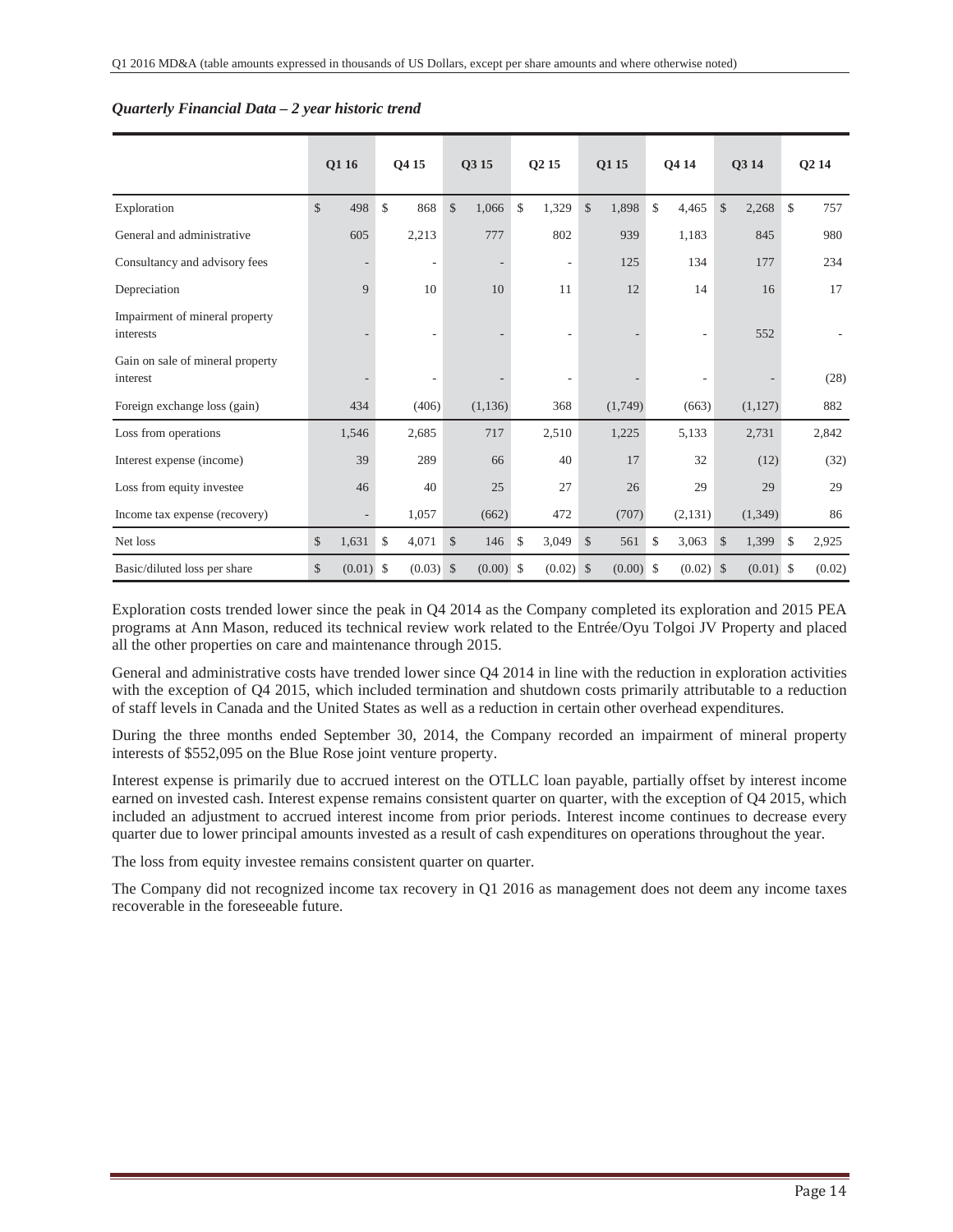|                                              |               | Q1 16  |              | Q4 15                    |               | Q3 15    |               | Q <sub>2</sub> 15            |               | Q1 15   | <b>O4 14</b>             |               | Q3 14       | Q <sub>2</sub> 14 |
|----------------------------------------------|---------------|--------|--------------|--------------------------|---------------|----------|---------------|------------------------------|---------------|---------|--------------------------|---------------|-------------|-------------------|
| Exploration                                  | $\mathcal{S}$ | 498    | $\mathbb{S}$ | 868                      | $\mathcal{S}$ | 1,066    | $\mathcal{S}$ | 1,329                        | \$            | 1,898   | \$<br>4,465              | $\mathcal{S}$ | 2,268       | \$<br>757         |
| General and administrative                   |               | 605    |              | 2,213                    |               | 777      |               | 802                          |               | 939     | 1,183                    |               | 845         | 980               |
| Consultancy and advisory fees                |               |        |              | $\overline{\phantom{a}}$ |               |          |               | $\overline{\phantom{a}}$     |               | 125     | 134                      |               | 177         | 234               |
| Depreciation                                 |               | 9      |              | 10                       |               | 10       |               | 11                           |               | 12      | 14                       |               | 16          | 17                |
| Impairment of mineral property<br>interests  |               |        |              | $\overline{\phantom{a}}$ |               |          |               |                              |               |         | $\overline{\phantom{a}}$ |               | 552         |                   |
| Gain on sale of mineral property<br>interest |               |        |              | $\overline{\phantom{a}}$ |               |          |               | $\qquad \qquad \blacksquare$ |               |         | $\overline{\phantom{a}}$ |               |             | (28)              |
| Foreign exchange loss (gain)                 |               | 434    |              | (406)                    |               | (1, 136) |               | 368                          |               | (1,749) | (663)                    |               | (1,127)     | 882               |
| Loss from operations                         |               | 1,546  |              | 2,685                    |               | 717      |               | 2,510                        |               | 1,225   | 5,133                    |               | 2,731       | 2,842             |
| Interest expense (income)                    |               | 39     |              | 289                      |               | 66       |               | 40                           |               | 17      | 32                       |               | (12)        | (32)              |
| Loss from equity investee                    |               | 46     |              | 40                       |               | 25       |               | 27                           |               | 26      | 29                       |               | 29          | 29                |
| Income tax expense (recovery)                |               |        |              | 1,057                    |               | (662)    |               | 472                          |               | (707)   | (2,131)                  |               | (1, 349)    | 86                |
| Net loss                                     | $\mathcal{S}$ | 1,631  | $\mathbb{S}$ | 4,071                    | \$            | 146      | \$            | 3,049                        | \$            | 561     | \$<br>3,063              | \$            | 1,399       | \$<br>2,925       |
| Basic/diluted loss per share                 | $\mathcal{S}$ | (0.01) | -\$          | $(0.03)$ \$              |               | (0.00)   | -\$           | (0.02)                       | $\mathcal{S}$ | (0.00)  | \$<br>$(0.02)$ \$        |               | $(0.01)$ \$ | (0.02)            |

#### *Quarterly Financial Data – 2 year historic trend*

Exploration costs trended lower since the peak in Q4 2014 as the Company completed its exploration and 2015 PEA programs at Ann Mason, reduced its technical review work related to the Entrée/Oyu Tolgoi JV Property and placed all the other properties on care and maintenance through 2015.

General and administrative costs have trended lower since Q4 2014 in line with the reduction in exploration activities with the exception of Q4 2015, which included termination and shutdown costs primarily attributable to a reduction of staff levels in Canada and the United States as well as a reduction in certain other overhead expenditures.

During the three months ended September 30, 2014, the Company recorded an impairment of mineral property interests of \$552,095 on the Blue Rose joint venture property.

Interest expense is primarily due to accrued interest on the OTLLC loan payable, partially offset by interest income earned on invested cash. Interest expense remains consistent quarter on quarter, with the exception of Q4 2015, which included an adjustment to accrued interest income from prior periods. Interest income continues to decrease every quarter due to lower principal amounts invested as a result of cash expenditures on operations throughout the year.

The loss from equity investee remains consistent quarter on quarter.

The Company did not recognized income tax recovery in Q1 2016 as management does not deem any income taxes recoverable in the foreseeable future.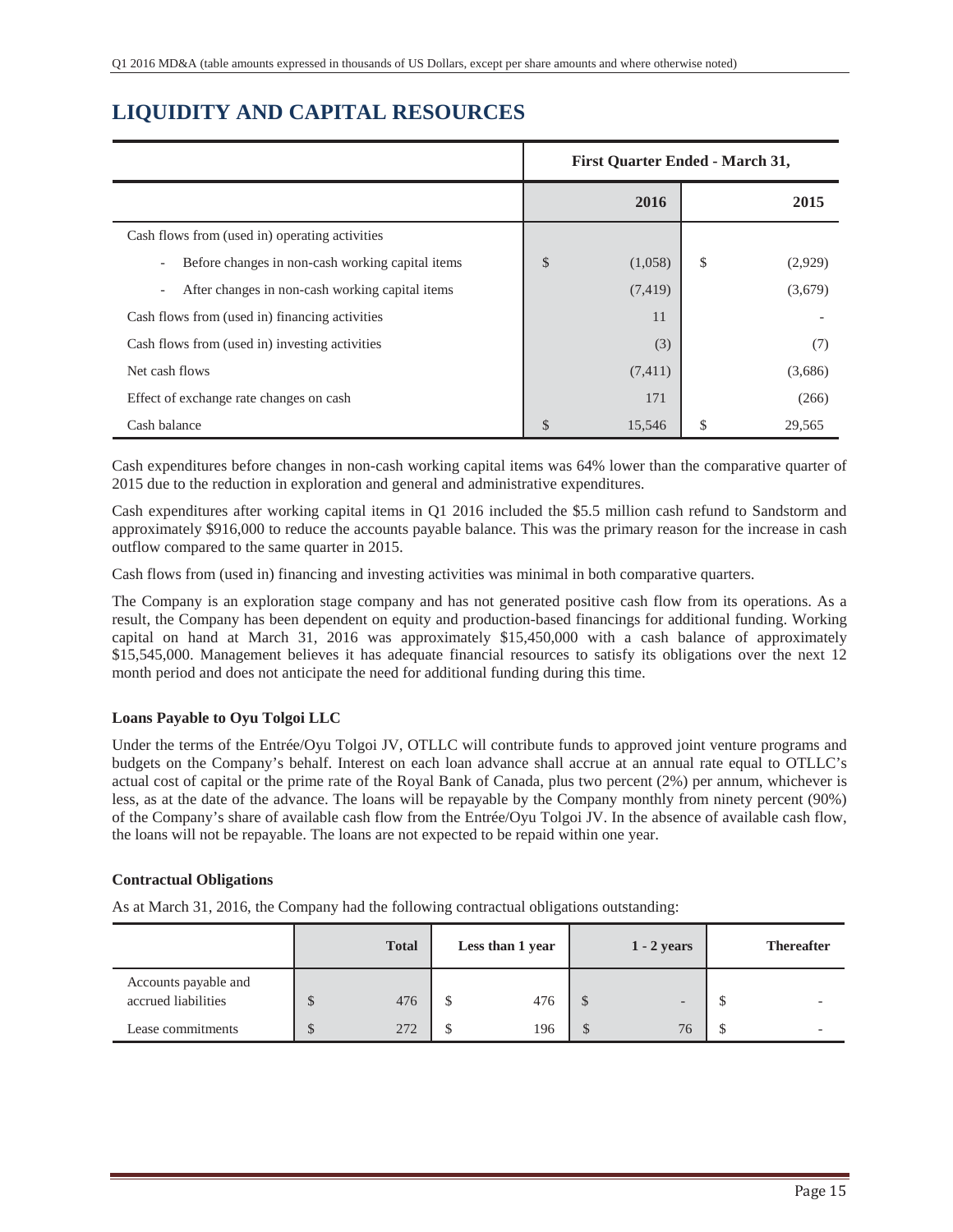## **LIQUIDITY AND CAPITAL RESOURCES**

|                                                                              | <b>First Quarter Ended - March 31,</b> |          |    |         |  |  |
|------------------------------------------------------------------------------|----------------------------------------|----------|----|---------|--|--|
|                                                                              |                                        | 2016     |    | 2015    |  |  |
| Cash flows from (used in) operating activities                               |                                        |          |    |         |  |  |
| Before changes in non-cash working capital items<br>$\overline{\phantom{a}}$ | \$                                     | (1,058)  | \$ | (2,929) |  |  |
| After changes in non-cash working capital items<br>$\overline{\phantom{a}}$  |                                        | (7, 419) |    | (3,679) |  |  |
| Cash flows from (used in) financing activities                               |                                        | 11       |    |         |  |  |
| Cash flows from (used in) investing activities                               |                                        | (3)      |    | (7)     |  |  |
| Net cash flows                                                               |                                        | (7, 411) |    | (3,686) |  |  |
| Effect of exchange rate changes on cash                                      |                                        | 171      |    | (266)   |  |  |
| Cash balance                                                                 | \$                                     | 15,546   | S  | 29,565  |  |  |

Cash expenditures before changes in non-cash working capital items was 64% lower than the comparative quarter of 2015 due to the reduction in exploration and general and administrative expenditures.

Cash expenditures after working capital items in Q1 2016 included the \$5.5 million cash refund to Sandstorm and approximately \$916,000 to reduce the accounts payable balance. This was the primary reason for the increase in cash outflow compared to the same quarter in 2015.

Cash flows from (used in) financing and investing activities was minimal in both comparative quarters.

The Company is an exploration stage company and has not generated positive cash flow from its operations. As a result, the Company has been dependent on equity and production-based financings for additional funding. Working capital on hand at March 31, 2016 was approximately \$15,450,000 with a cash balance of approximately \$15,545,000. Management believes it has adequate financial resources to satisfy its obligations over the next 12 month period and does not anticipate the need for additional funding during this time.

### **Loans Payable to Oyu Tolgoi LLC**

Under the terms of the Entrée/Oyu Tolgoi JV, OTLLC will contribute funds to approved joint venture programs and budgets on the Company's behalf. Interest on each loan advance shall accrue at an annual rate equal to OTLLC's actual cost of capital or the prime rate of the Royal Bank of Canada, plus two percent (2%) per annum, whichever is less, as at the date of the advance. The loans will be repayable by the Company monthly from ninety percent (90%) of the Company's share of available cash flow from the Entrée/Oyu Tolgoi JV. In the absence of available cash flow, the loans will not be repayable. The loans are not expected to be repaid within one year.

### **Contractual Obligations**

As at March 31, 2016, the Company had the following contractual obligations outstanding:

|                                             |               | <b>Total</b> | Less than 1 year | $1 - 2$ years            | <b>Thereafter</b> |
|---------------------------------------------|---------------|--------------|------------------|--------------------------|-------------------|
| Accounts payable and<br>accrued liabilities | Φ             | 476          | 476              | $\overline{\phantom{0}}$ |                   |
| Lease commitments                           | $\mathcal{D}$ | 272          | 196              | 76                       |                   |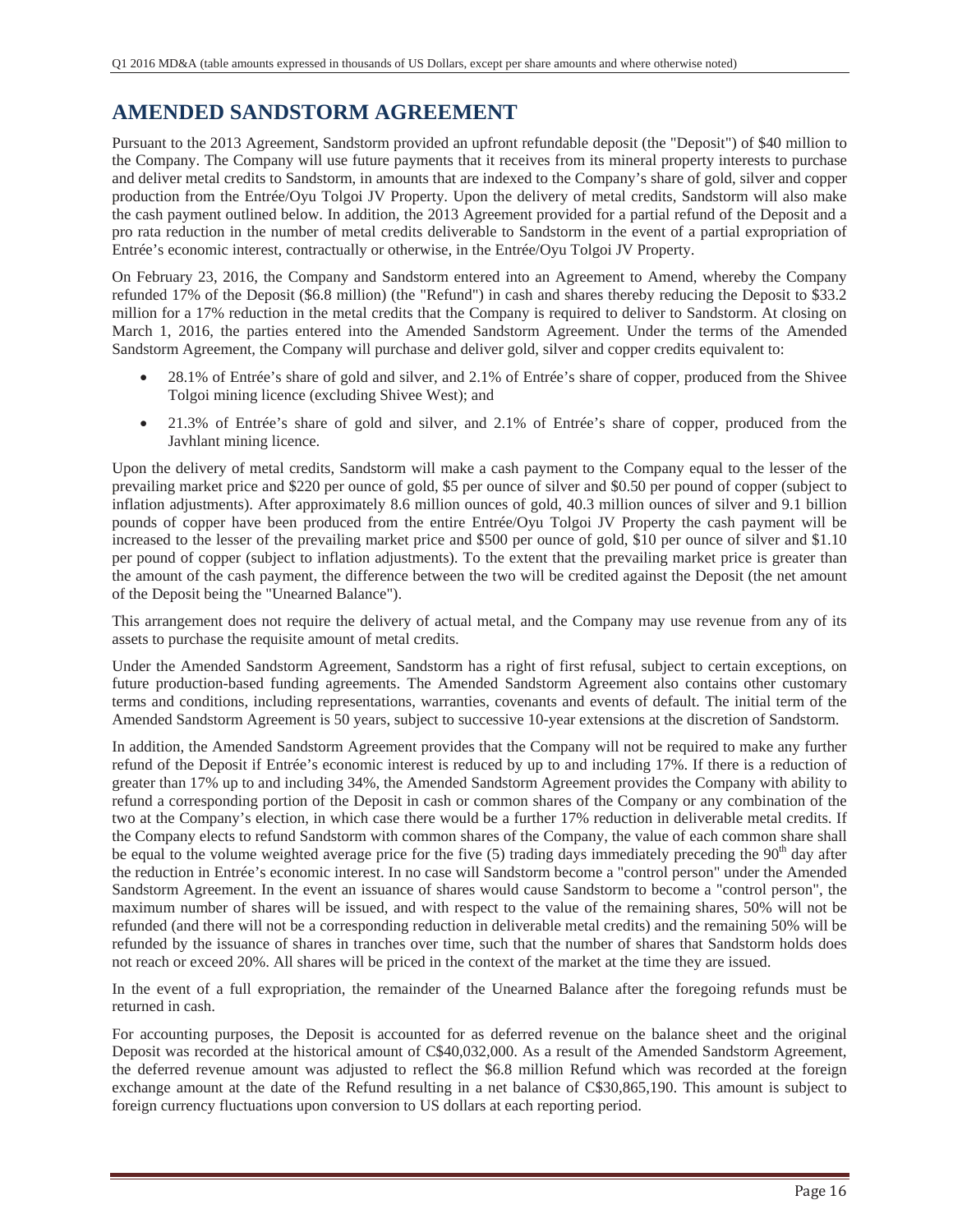## **AMENDED SANDSTORM AGREEMENT**

Pursuant to the 2013 Agreement, Sandstorm provided an upfront refundable deposit (the "Deposit") of \$40 million to the Company. The Company will use future payments that it receives from its mineral property interests to purchase and deliver metal credits to Sandstorm, in amounts that are indexed to the Company's share of gold, silver and copper production from the Entrée/Oyu Tolgoi JV Property. Upon the delivery of metal credits, Sandstorm will also make the cash payment outlined below. In addition, the 2013 Agreement provided for a partial refund of the Deposit and a pro rata reduction in the number of metal credits deliverable to Sandstorm in the event of a partial expropriation of Entrée's economic interest, contractually or otherwise, in the Entrée/Oyu Tolgoi JV Property.

On February 23, 2016, the Company and Sandstorm entered into an Agreement to Amend, whereby the Company refunded 17% of the Deposit (\$6.8 million) (the "Refund") in cash and shares thereby reducing the Deposit to \$33.2 million for a 17% reduction in the metal credits that the Company is required to deliver to Sandstorm. At closing on March 1, 2016, the parties entered into the Amended Sandstorm Agreement. Under the terms of the Amended Sandstorm Agreement, the Company will purchase and deliver gold, silver and copper credits equivalent to:

- x 28.1% of Entrée's share of gold and silver, and 2.1% of Entrée's share of copper, produced from the Shivee Tolgoi mining licence (excluding Shivee West); and
- x 21.3% of Entrée's share of gold and silver, and 2.1% of Entrée's share of copper, produced from the Javhlant mining licence.

Upon the delivery of metal credits, Sandstorm will make a cash payment to the Company equal to the lesser of the prevailing market price and \$220 per ounce of gold, \$5 per ounce of silver and \$0.50 per pound of copper (subject to inflation adjustments). After approximately 8.6 million ounces of gold, 40.3 million ounces of silver and 9.1 billion pounds of copper have been produced from the entire Entrée/Oyu Tolgoi JV Property the cash payment will be increased to the lesser of the prevailing market price and \$500 per ounce of gold, \$10 per ounce of silver and \$1.10 per pound of copper (subject to inflation adjustments). To the extent that the prevailing market price is greater than the amount of the cash payment, the difference between the two will be credited against the Deposit (the net amount of the Deposit being the "Unearned Balance").

This arrangement does not require the delivery of actual metal, and the Company may use revenue from any of its assets to purchase the requisite amount of metal credits.

Under the Amended Sandstorm Agreement, Sandstorm has a right of first refusal, subject to certain exceptions, on future production-based funding agreements. The Amended Sandstorm Agreement also contains other customary terms and conditions, including representations, warranties, covenants and events of default. The initial term of the Amended Sandstorm Agreement is 50 years, subject to successive 10-year extensions at the discretion of Sandstorm.

In addition, the Amended Sandstorm Agreement provides that the Company will not be required to make any further refund of the Deposit if Entrée's economic interest is reduced by up to and including 17%. If there is a reduction of greater than 17% up to and including 34%, the Amended Sandstorm Agreement provides the Company with ability to refund a corresponding portion of the Deposit in cash or common shares of the Company or any combination of the two at the Company's election, in which case there would be a further 17% reduction in deliverable metal credits. If the Company elects to refund Sandstorm with common shares of the Company, the value of each common share shall be equal to the volume weighted average price for the five  $(5)$  trading days immediately preceding the  $90<sup>th</sup>$  day after the reduction in Entrée's economic interest. In no case will Sandstorm become a "control person" under the Amended Sandstorm Agreement. In the event an issuance of shares would cause Sandstorm to become a "control person", the maximum number of shares will be issued, and with respect to the value of the remaining shares, 50% will not be refunded (and there will not be a corresponding reduction in deliverable metal credits) and the remaining 50% will be refunded by the issuance of shares in tranches over time, such that the number of shares that Sandstorm holds does not reach or exceed 20%. All shares will be priced in the context of the market at the time they are issued.

In the event of a full expropriation, the remainder of the Unearned Balance after the foregoing refunds must be returned in cash.

For accounting purposes, the Deposit is accounted for as deferred revenue on the balance sheet and the original Deposit was recorded at the historical amount of C\$40,032,000. As a result of the Amended Sandstorm Agreement, the deferred revenue amount was adjusted to reflect the \$6.8 million Refund which was recorded at the foreign exchange amount at the date of the Refund resulting in a net balance of C\$30,865,190. This amount is subject to foreign currency fluctuations upon conversion to US dollars at each reporting period.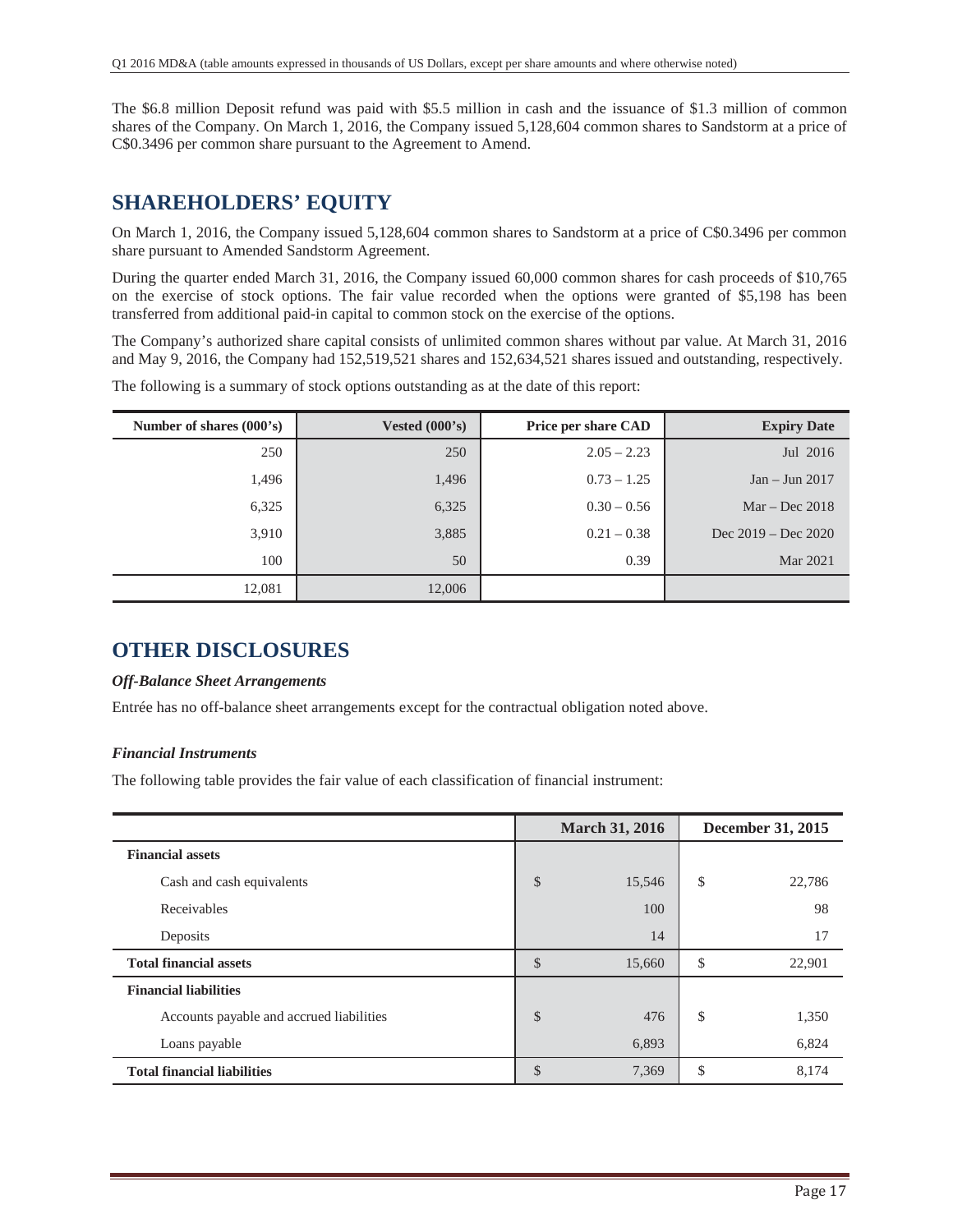The \$6.8 million Deposit refund was paid with \$5.5 million in cash and the issuance of \$1.3 million of common shares of the Company. On March 1, 2016, the Company issued 5,128,604 common shares to Sandstorm at a price of C\$0.3496 per common share pursuant to the Agreement to Amend.

### **SHAREHOLDERS' EQUITY**

On March 1, 2016, the Company issued 5,128,604 common shares to Sandstorm at a price of C\$0.3496 per common share pursuant to Amended Sandstorm Agreement.

During the quarter ended March 31, 2016, the Company issued 60,000 common shares for cash proceeds of \$10,765 on the exercise of stock options. The fair value recorded when the options were granted of \$5,198 has been transferred from additional paid-in capital to common stock on the exercise of the options.

The Company's authorized share capital consists of unlimited common shares without par value. At March 31, 2016 and May 9, 2016, the Company had 152,519,521 shares and 152,634,521 shares issued and outstanding, respectively.

| Number of shares (000's) | Vested $(000's)$ | <b>Price per share CAD</b> | <b>Expiry Date</b>    |
|--------------------------|------------------|----------------------------|-----------------------|
| 250                      | 250              | $2.05 - 2.23$              | Jul 2016              |
| 1,496                    | 1,496            | $0.73 - 1.25$              | $Jan - Jun 2017$      |
| 6,325                    | 6,325            | $0.30 - 0.56$              | $Mar - Dec 2018$      |
| 3,910                    | 3,885            | $0.21 - 0.38$              | Dec $2019 - Dec 2020$ |
| 100                      | 50               | 0.39                       | Mar 2021              |
| 12,081                   | 12,006           |                            |                       |

The following is a summary of stock options outstanding as at the date of this report:

### **OTHER DISCLOSURES**

### *Off-Balance Sheet Arrangements*

Entrée has no off-balance sheet arrangements except for the contractual obligation noted above.

### *Financial Instruments*

The following table provides the fair value of each classification of financial instrument:

|                                          |               | <b>March 31, 2016</b> | <b>December 31, 2015</b> |
|------------------------------------------|---------------|-----------------------|--------------------------|
| <b>Financial assets</b>                  |               |                       |                          |
| Cash and cash equivalents                | \$            | 15,546                | \$<br>22,786             |
| Receivables                              |               | 100                   | 98                       |
| Deposits                                 |               | 14                    | 17                       |
| <b>Total financial assets</b>            | \$            | 15,660                | \$<br>22,901             |
| <b>Financial liabilities</b>             |               |                       |                          |
| Accounts payable and accrued liabilities | \$            | 476                   | \$<br>1,350              |
| Loans payable                            |               | 6,893                 | 6,824                    |
| <b>Total financial liabilities</b>       | $\mathcal{S}$ | 7,369                 | \$<br>8,174              |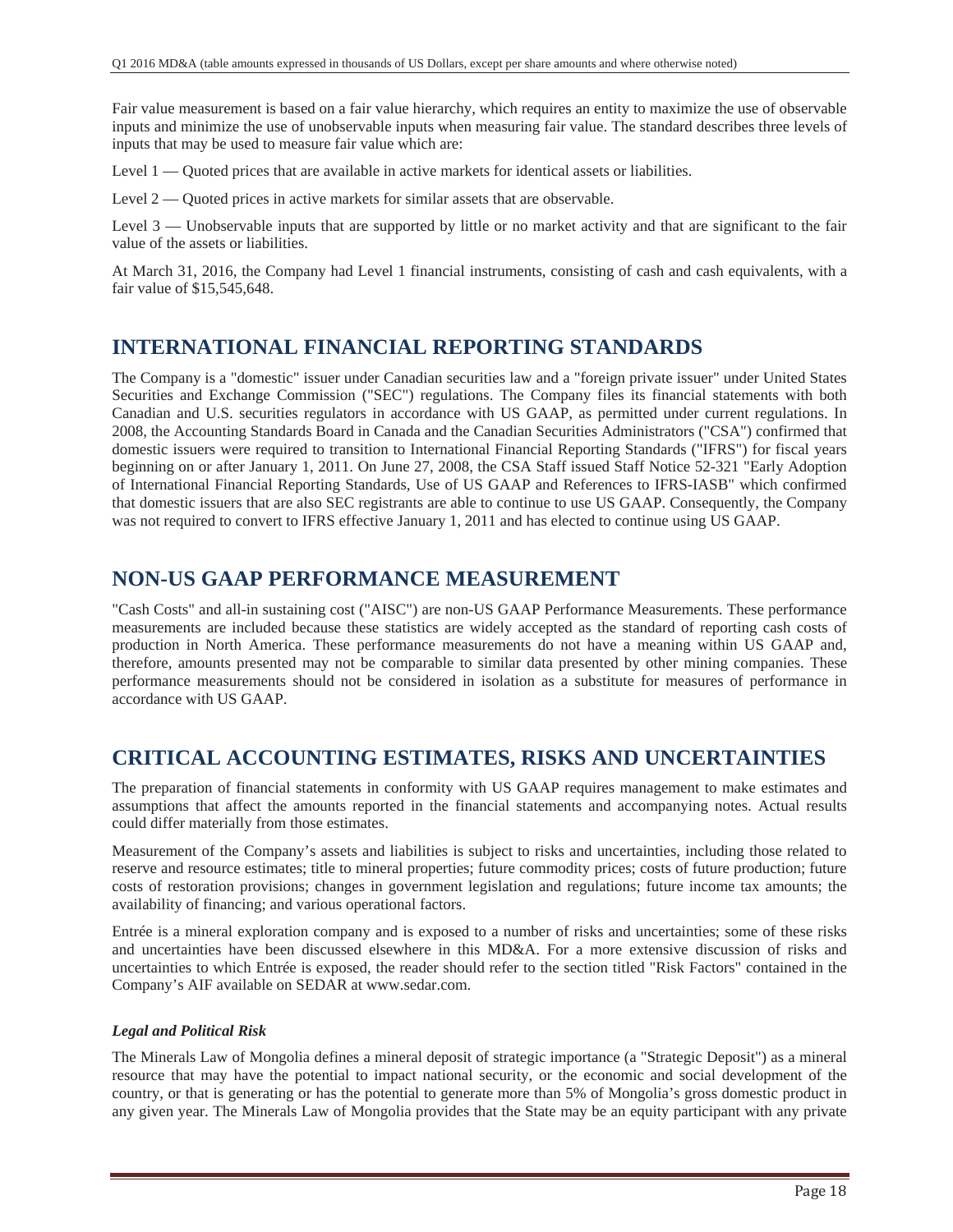Fair value measurement is based on a fair value hierarchy, which requires an entity to maximize the use of observable inputs and minimize the use of unobservable inputs when measuring fair value. The standard describes three levels of inputs that may be used to measure fair value which are:

Level 1 — Quoted prices that are available in active markets for identical assets or liabilities.

Level 2 — Quoted prices in active markets for similar assets that are observable.

Level 3 — Unobservable inputs that are supported by little or no market activity and that are significant to the fair value of the assets or liabilities.

At March 31, 2016, the Company had Level 1 financial instruments, consisting of cash and cash equivalents, with a fair value of \$15,545,648.

### **INTERNATIONAL FINANCIAL REPORTING STANDARDS**

The Company is a "domestic" issuer under Canadian securities law and a "foreign private issuer" under United States Securities and Exchange Commission ("SEC") regulations. The Company files its financial statements with both Canadian and U.S. securities regulators in accordance with US GAAP, as permitted under current regulations. In 2008, the Accounting Standards Board in Canada and the Canadian Securities Administrators ("CSA") confirmed that domestic issuers were required to transition to International Financial Reporting Standards ("IFRS") for fiscal years beginning on or after January 1, 2011. On June 27, 2008, the CSA Staff issued Staff Notice 52-321 "Early Adoption of International Financial Reporting Standards, Use of US GAAP and References to IFRS-IASB" which confirmed that domestic issuers that are also SEC registrants are able to continue to use US GAAP. Consequently, the Company was not required to convert to IFRS effective January 1, 2011 and has elected to continue using US GAAP.

### **NON-US GAAP PERFORMANCE MEASUREMENT**

"Cash Costs" and all-in sustaining cost ("AISC") are non-US GAAP Performance Measurements. These performance measurements are included because these statistics are widely accepted as the standard of reporting cash costs of production in North America. These performance measurements do not have a meaning within US GAAP and, therefore, amounts presented may not be comparable to similar data presented by other mining companies. These performance measurements should not be considered in isolation as a substitute for measures of performance in accordance with US GAAP.

### **CRITICAL ACCOUNTING ESTIMATES, RISKS AND UNCERTAINTIES**

The preparation of financial statements in conformity with US GAAP requires management to make estimates and assumptions that affect the amounts reported in the financial statements and accompanying notes. Actual results could differ materially from those estimates.

Measurement of the Company's assets and liabilities is subject to risks and uncertainties, including those related to reserve and resource estimates; title to mineral properties; future commodity prices; costs of future production; future costs of restoration provisions; changes in government legislation and regulations; future income tax amounts; the availability of financing; and various operational factors.

Entrée is a mineral exploration company and is exposed to a number of risks and uncertainties; some of these risks and uncertainties have been discussed elsewhere in this MD&A. For a more extensive discussion of risks and uncertainties to which Entrée is exposed, the reader should refer to the section titled "Risk Factors" contained in the Company's AIF available on SEDAR at www.sedar.com.

### *Legal and Political Risk*

The Minerals Law of Mongolia defines a mineral deposit of strategic importance (a "Strategic Deposit") as a mineral resource that may have the potential to impact national security, or the economic and social development of the country, or that is generating or has the potential to generate more than 5% of Mongolia's gross domestic product in any given year. The Minerals Law of Mongolia provides that the State may be an equity participant with any private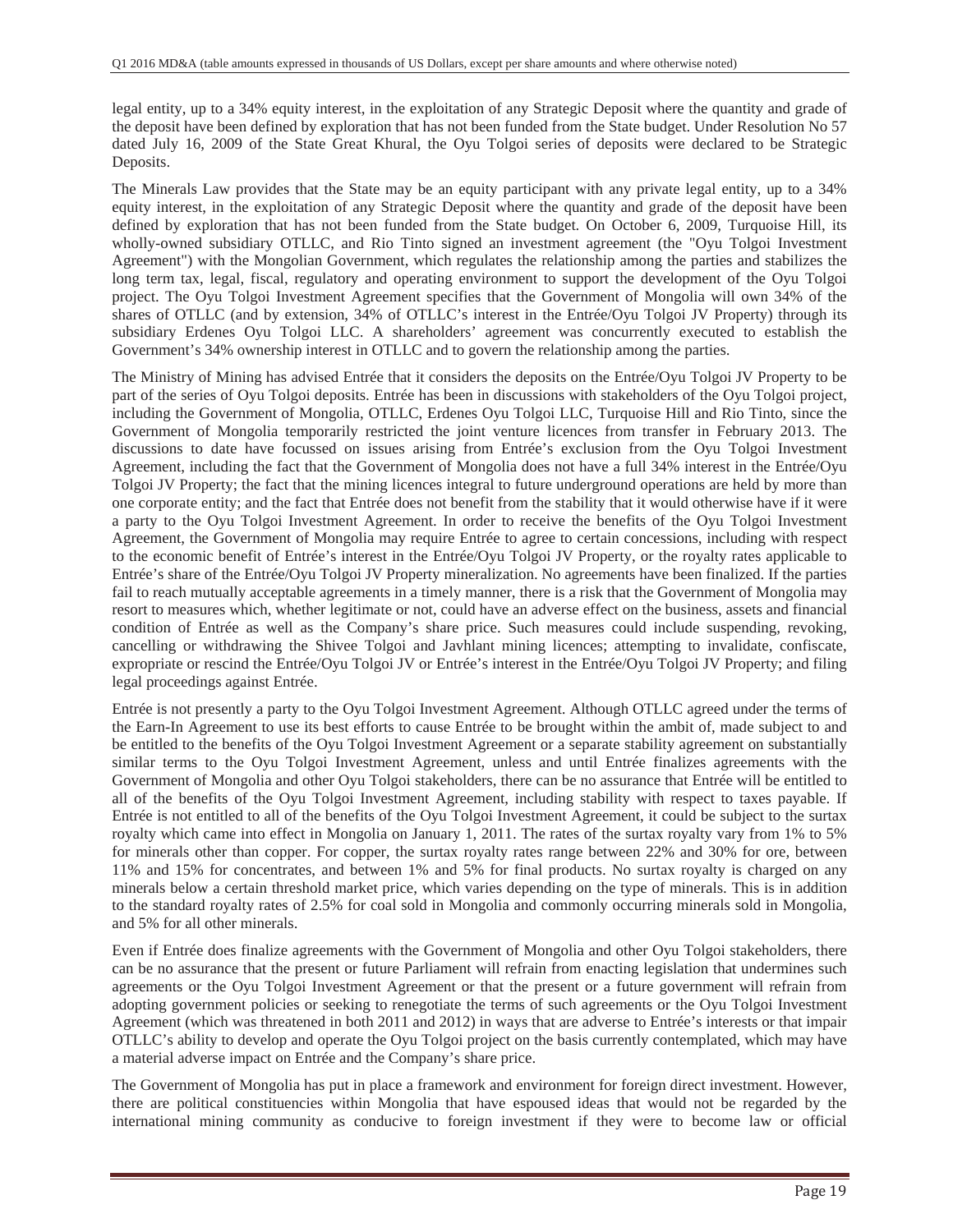legal entity, up to a 34% equity interest, in the exploitation of any Strategic Deposit where the quantity and grade of the deposit have been defined by exploration that has not been funded from the State budget. Under Resolution No 57 dated July 16, 2009 of the State Great Khural, the Oyu Tolgoi series of deposits were declared to be Strategic Deposits.

The Minerals Law provides that the State may be an equity participant with any private legal entity, up to a 34% equity interest, in the exploitation of any Strategic Deposit where the quantity and grade of the deposit have been defined by exploration that has not been funded from the State budget. On October 6, 2009, Turquoise Hill, its wholly-owned subsidiary OTLLC, and Rio Tinto signed an investment agreement (the "Oyu Tolgoi Investment Agreement") with the Mongolian Government, which regulates the relationship among the parties and stabilizes the long term tax, legal, fiscal, regulatory and operating environment to support the development of the Oyu Tolgoi project. The Oyu Tolgoi Investment Agreement specifies that the Government of Mongolia will own 34% of the shares of OTLLC (and by extension, 34% of OTLLC's interest in the Entrée/Oyu Tolgoi JV Property) through its subsidiary Erdenes Oyu Tolgoi LLC. A shareholders' agreement was concurrently executed to establish the Government's 34% ownership interest in OTLLC and to govern the relationship among the parties.

The Ministry of Mining has advised Entrée that it considers the deposits on the Entrée/Oyu Tolgoi JV Property to be part of the series of Oyu Tolgoi deposits. Entrée has been in discussions with stakeholders of the Oyu Tolgoi project, including the Government of Mongolia, OTLLC, Erdenes Oyu Tolgoi LLC, Turquoise Hill and Rio Tinto, since the Government of Mongolia temporarily restricted the joint venture licences from transfer in February 2013. The discussions to date have focussed on issues arising from Entrée's exclusion from the Oyu Tolgoi Investment Agreement, including the fact that the Government of Mongolia does not have a full 34% interest in the Entrée/Oyu Tolgoi JV Property; the fact that the mining licences integral to future underground operations are held by more than one corporate entity; and the fact that Entrée does not benefit from the stability that it would otherwise have if it were a party to the Oyu Tolgoi Investment Agreement. In order to receive the benefits of the Oyu Tolgoi Investment Agreement, the Government of Mongolia may require Entrée to agree to certain concessions, including with respect to the economic benefit of Entrée's interest in the Entrée/Oyu Tolgoi JV Property, or the royalty rates applicable to Entrée's share of the Entrée/Oyu Tolgoi JV Property mineralization. No agreements have been finalized. If the parties fail to reach mutually acceptable agreements in a timely manner, there is a risk that the Government of Mongolia may resort to measures which, whether legitimate or not, could have an adverse effect on the business, assets and financial condition of Entrée as well as the Company's share price. Such measures could include suspending, revoking, cancelling or withdrawing the Shivee Tolgoi and Javhlant mining licences; attempting to invalidate, confiscate, expropriate or rescind the Entrée/Oyu Tolgoi JV or Entrée's interest in the Entrée/Oyu Tolgoi JV Property; and filing legal proceedings against Entrée.

Entrée is not presently a party to the Oyu Tolgoi Investment Agreement. Although OTLLC agreed under the terms of the Earn-In Agreement to use its best efforts to cause Entrée to be brought within the ambit of, made subject to and be entitled to the benefits of the Oyu Tolgoi Investment Agreement or a separate stability agreement on substantially similar terms to the Oyu Tolgoi Investment Agreement, unless and until Entrée finalizes agreements with the Government of Mongolia and other Oyu Tolgoi stakeholders, there can be no assurance that Entrée will be entitled to all of the benefits of the Oyu Tolgoi Investment Agreement, including stability with respect to taxes payable. If Entrée is not entitled to all of the benefits of the Oyu Tolgoi Investment Agreement, it could be subject to the surtax royalty which came into effect in Mongolia on January 1, 2011. The rates of the surtax royalty vary from 1% to 5% for minerals other than copper. For copper, the surtax royalty rates range between 22% and 30% for ore, between 11% and 15% for concentrates, and between 1% and 5% for final products. No surtax royalty is charged on any minerals below a certain threshold market price, which varies depending on the type of minerals. This is in addition to the standard royalty rates of 2.5% for coal sold in Mongolia and commonly occurring minerals sold in Mongolia, and 5% for all other minerals.

Even if Entrée does finalize agreements with the Government of Mongolia and other Oyu Tolgoi stakeholders, there can be no assurance that the present or future Parliament will refrain from enacting legislation that undermines such agreements or the Oyu Tolgoi Investment Agreement or that the present or a future government will refrain from adopting government policies or seeking to renegotiate the terms of such agreements or the Oyu Tolgoi Investment Agreement (which was threatened in both 2011 and 2012) in ways that are adverse to Entrée's interests or that impair OTLLC's ability to develop and operate the Oyu Tolgoi project on the basis currently contemplated, which may have a material adverse impact on Entrée and the Company's share price.

The Government of Mongolia has put in place a framework and environment for foreign direct investment. However, there are political constituencies within Mongolia that have espoused ideas that would not be regarded by the international mining community as conducive to foreign investment if they were to become law or official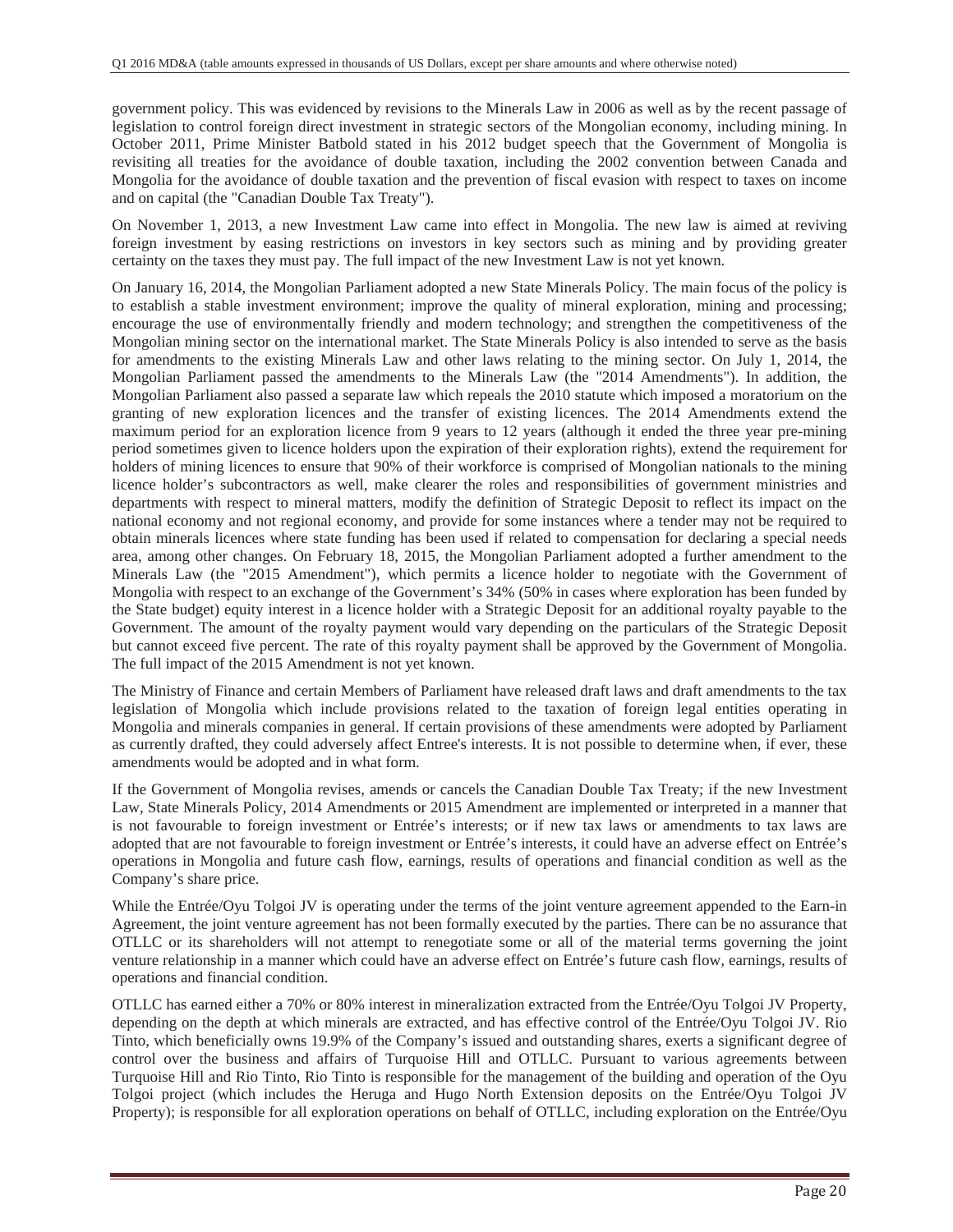government policy. This was evidenced by revisions to the Minerals Law in 2006 as well as by the recent passage of legislation to control foreign direct investment in strategic sectors of the Mongolian economy, including mining. In October 2011, Prime Minister Batbold stated in his 2012 budget speech that the Government of Mongolia is revisiting all treaties for the avoidance of double taxation, including the 2002 convention between Canada and Mongolia for the avoidance of double taxation and the prevention of fiscal evasion with respect to taxes on income and on capital (the "Canadian Double Tax Treaty").

On November 1, 2013, a new Investment Law came into effect in Mongolia. The new law is aimed at reviving foreign investment by easing restrictions on investors in key sectors such as mining and by providing greater certainty on the taxes they must pay. The full impact of the new Investment Law is not yet known.

On January 16, 2014, the Mongolian Parliament adopted a new State Minerals Policy. The main focus of the policy is to establish a stable investment environment; improve the quality of mineral exploration, mining and processing; encourage the use of environmentally friendly and modern technology; and strengthen the competitiveness of the Mongolian mining sector on the international market. The State Minerals Policy is also intended to serve as the basis for amendments to the existing Minerals Law and other laws relating to the mining sector. On July 1, 2014, the Mongolian Parliament passed the amendments to the Minerals Law (the "2014 Amendments"). In addition, the Mongolian Parliament also passed a separate law which repeals the 2010 statute which imposed a moratorium on the granting of new exploration licences and the transfer of existing licences. The 2014 Amendments extend the maximum period for an exploration licence from 9 years to 12 years (although it ended the three year pre-mining period sometimes given to licence holders upon the expiration of their exploration rights), extend the requirement for holders of mining licences to ensure that 90% of their workforce is comprised of Mongolian nationals to the mining licence holder's subcontractors as well, make clearer the roles and responsibilities of government ministries and departments with respect to mineral matters, modify the definition of Strategic Deposit to reflect its impact on the national economy and not regional economy, and provide for some instances where a tender may not be required to obtain minerals licences where state funding has been used if related to compensation for declaring a special needs area, among other changes. On February 18, 2015, the Mongolian Parliament adopted a further amendment to the Minerals Law (the "2015 Amendment"), which permits a licence holder to negotiate with the Government of Mongolia with respect to an exchange of the Government's 34% (50% in cases where exploration has been funded by the State budget) equity interest in a licence holder with a Strategic Deposit for an additional royalty payable to the Government. The amount of the royalty payment would vary depending on the particulars of the Strategic Deposit but cannot exceed five percent. The rate of this royalty payment shall be approved by the Government of Mongolia. The full impact of the 2015 Amendment is not yet known.

The Ministry of Finance and certain Members of Parliament have released draft laws and draft amendments to the tax legislation of Mongolia which include provisions related to the taxation of foreign legal entities operating in Mongolia and minerals companies in general. If certain provisions of these amendments were adopted by Parliament as currently drafted, they could adversely affect Entree's interests. It is not possible to determine when, if ever, these amendments would be adopted and in what form.

If the Government of Mongolia revises, amends or cancels the Canadian Double Tax Treaty; if the new Investment Law, State Minerals Policy, 2014 Amendments or 2015 Amendment are implemented or interpreted in a manner that is not favourable to foreign investment or Entrée's interests; or if new tax laws or amendments to tax laws are adopted that are not favourable to foreign investment or Entrée's interests, it could have an adverse effect on Entrée's operations in Mongolia and future cash flow, earnings, results of operations and financial condition as well as the Company's share price.

While the Entrée/Oyu Tolgoi JV is operating under the terms of the joint venture agreement appended to the Earn-in Agreement, the joint venture agreement has not been formally executed by the parties. There can be no assurance that OTLLC or its shareholders will not attempt to renegotiate some or all of the material terms governing the joint venture relationship in a manner which could have an adverse effect on Entrée's future cash flow, earnings, results of operations and financial condition.

OTLLC has earned either a 70% or 80% interest in mineralization extracted from the Entrée/Oyu Tolgoi JV Property, depending on the depth at which minerals are extracted, and has effective control of the Entrée/Oyu Tolgoi JV. Rio Tinto, which beneficially owns 19.9% of the Company's issued and outstanding shares, exerts a significant degree of control over the business and affairs of Turquoise Hill and OTLLC. Pursuant to various agreements between Turquoise Hill and Rio Tinto, Rio Tinto is responsible for the management of the building and operation of the Oyu Tolgoi project (which includes the Heruga and Hugo North Extension deposits on the Entrée/Oyu Tolgoi JV Property); is responsible for all exploration operations on behalf of OTLLC, including exploration on the Entrée/Oyu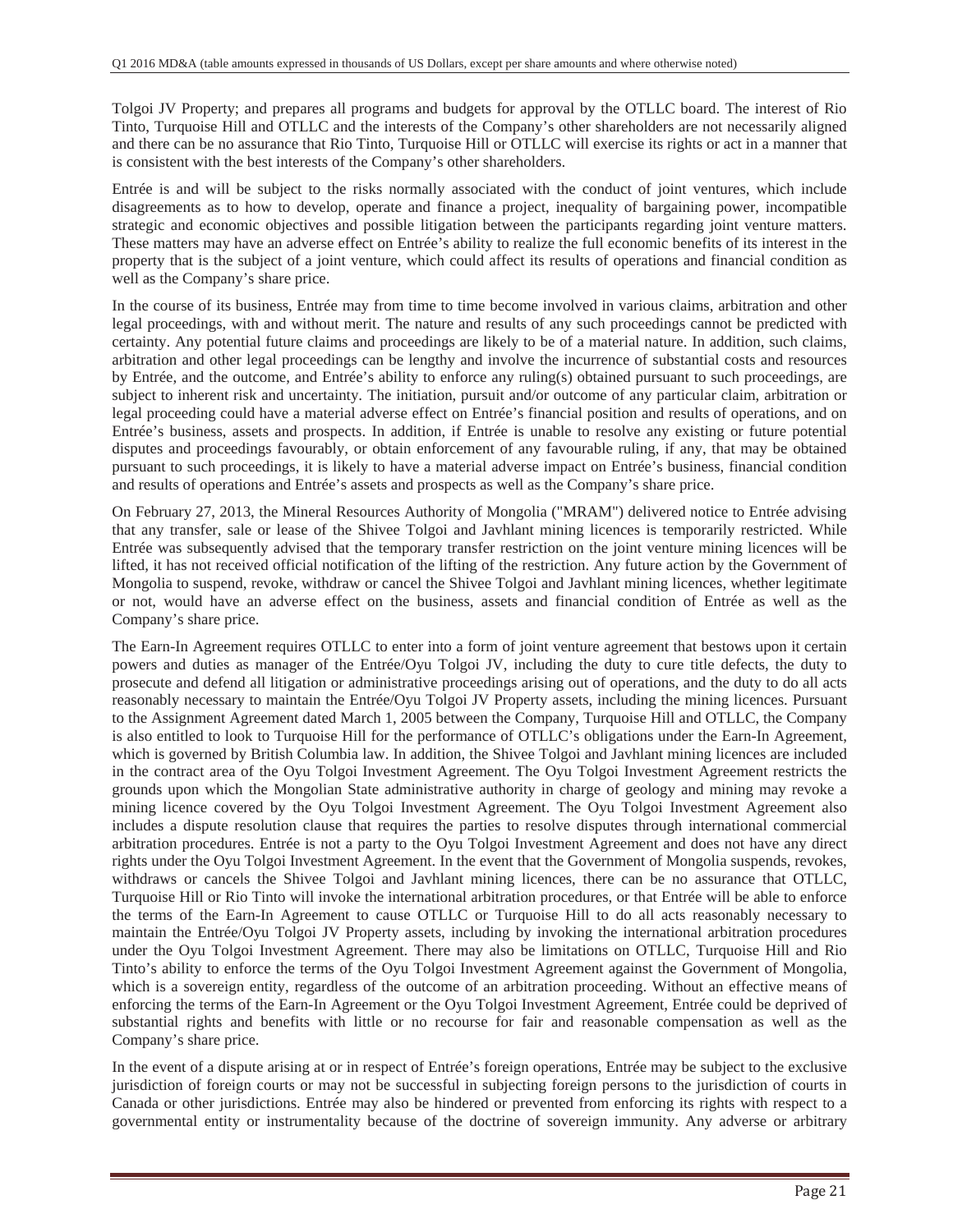Tolgoi JV Property; and prepares all programs and budgets for approval by the OTLLC board. The interest of Rio Tinto, Turquoise Hill and OTLLC and the interests of the Company's other shareholders are not necessarily aligned and there can be no assurance that Rio Tinto, Turquoise Hill or OTLLC will exercise its rights or act in a manner that is consistent with the best interests of the Company's other shareholders.

Entrée is and will be subject to the risks normally associated with the conduct of joint ventures, which include disagreements as to how to develop, operate and finance a project, inequality of bargaining power, incompatible strategic and economic objectives and possible litigation between the participants regarding joint venture matters. These matters may have an adverse effect on Entrée's ability to realize the full economic benefits of its interest in the property that is the subject of a joint venture, which could affect its results of operations and financial condition as well as the Company's share price.

In the course of its business, Entrée may from time to time become involved in various claims, arbitration and other legal proceedings, with and without merit. The nature and results of any such proceedings cannot be predicted with certainty. Any potential future claims and proceedings are likely to be of a material nature. In addition, such claims, arbitration and other legal proceedings can be lengthy and involve the incurrence of substantial costs and resources by Entrée, and the outcome, and Entrée's ability to enforce any ruling(s) obtained pursuant to such proceedings, are subject to inherent risk and uncertainty. The initiation, pursuit and/or outcome of any particular claim, arbitration or legal proceeding could have a material adverse effect on Entrée's financial position and results of operations, and on Entrée's business, assets and prospects. In addition, if Entrée is unable to resolve any existing or future potential disputes and proceedings favourably, or obtain enforcement of any favourable ruling, if any, that may be obtained pursuant to such proceedings, it is likely to have a material adverse impact on Entrée's business, financial condition and results of operations and Entrée's assets and prospects as well as the Company's share price.

On February 27, 2013, the Mineral Resources Authority of Mongolia ("MRAM") delivered notice to Entrée advising that any transfer, sale or lease of the Shivee Tolgoi and Javhlant mining licences is temporarily restricted. While Entrée was subsequently advised that the temporary transfer restriction on the joint venture mining licences will be lifted, it has not received official notification of the lifting of the restriction. Any future action by the Government of Mongolia to suspend, revoke, withdraw or cancel the Shivee Tolgoi and Javhlant mining licences, whether legitimate or not, would have an adverse effect on the business, assets and financial condition of Entrée as well as the Company's share price.

The Earn-In Agreement requires OTLLC to enter into a form of joint venture agreement that bestows upon it certain powers and duties as manager of the Entrée/Oyu Tolgoi JV, including the duty to cure title defects, the duty to prosecute and defend all litigation or administrative proceedings arising out of operations, and the duty to do all acts reasonably necessary to maintain the Entrée/Oyu Tolgoi JV Property assets, including the mining licences. Pursuant to the Assignment Agreement dated March 1, 2005 between the Company, Turquoise Hill and OTLLC, the Company is also entitled to look to Turquoise Hill for the performance of OTLLC's obligations under the Earn-In Agreement, which is governed by British Columbia law. In addition, the Shivee Tolgoi and Javhlant mining licences are included in the contract area of the Oyu Tolgoi Investment Agreement. The Oyu Tolgoi Investment Agreement restricts the grounds upon which the Mongolian State administrative authority in charge of geology and mining may revoke a mining licence covered by the Oyu Tolgoi Investment Agreement. The Oyu Tolgoi Investment Agreement also includes a dispute resolution clause that requires the parties to resolve disputes through international commercial arbitration procedures. Entrée is not a party to the Oyu Tolgoi Investment Agreement and does not have any direct rights under the Oyu Tolgoi Investment Agreement. In the event that the Government of Mongolia suspends, revokes, withdraws or cancels the Shivee Tolgoi and Javhlant mining licences, there can be no assurance that OTLLC, Turquoise Hill or Rio Tinto will invoke the international arbitration procedures, or that Entrée will be able to enforce the terms of the Earn-In Agreement to cause OTLLC or Turquoise Hill to do all acts reasonably necessary to maintain the Entrée/Oyu Tolgoi JV Property assets, including by invoking the international arbitration procedures under the Oyu Tolgoi Investment Agreement. There may also be limitations on OTLLC, Turquoise Hill and Rio Tinto's ability to enforce the terms of the Oyu Tolgoi Investment Agreement against the Government of Mongolia, which is a sovereign entity, regardless of the outcome of an arbitration proceeding. Without an effective means of enforcing the terms of the Earn-In Agreement or the Oyu Tolgoi Investment Agreement, Entrée could be deprived of substantial rights and benefits with little or no recourse for fair and reasonable compensation as well as the Company's share price.

In the event of a dispute arising at or in respect of Entrée's foreign operations, Entrée may be subject to the exclusive jurisdiction of foreign courts or may not be successful in subjecting foreign persons to the jurisdiction of courts in Canada or other jurisdictions. Entrée may also be hindered or prevented from enforcing its rights with respect to a governmental entity or instrumentality because of the doctrine of sovereign immunity. Any adverse or arbitrary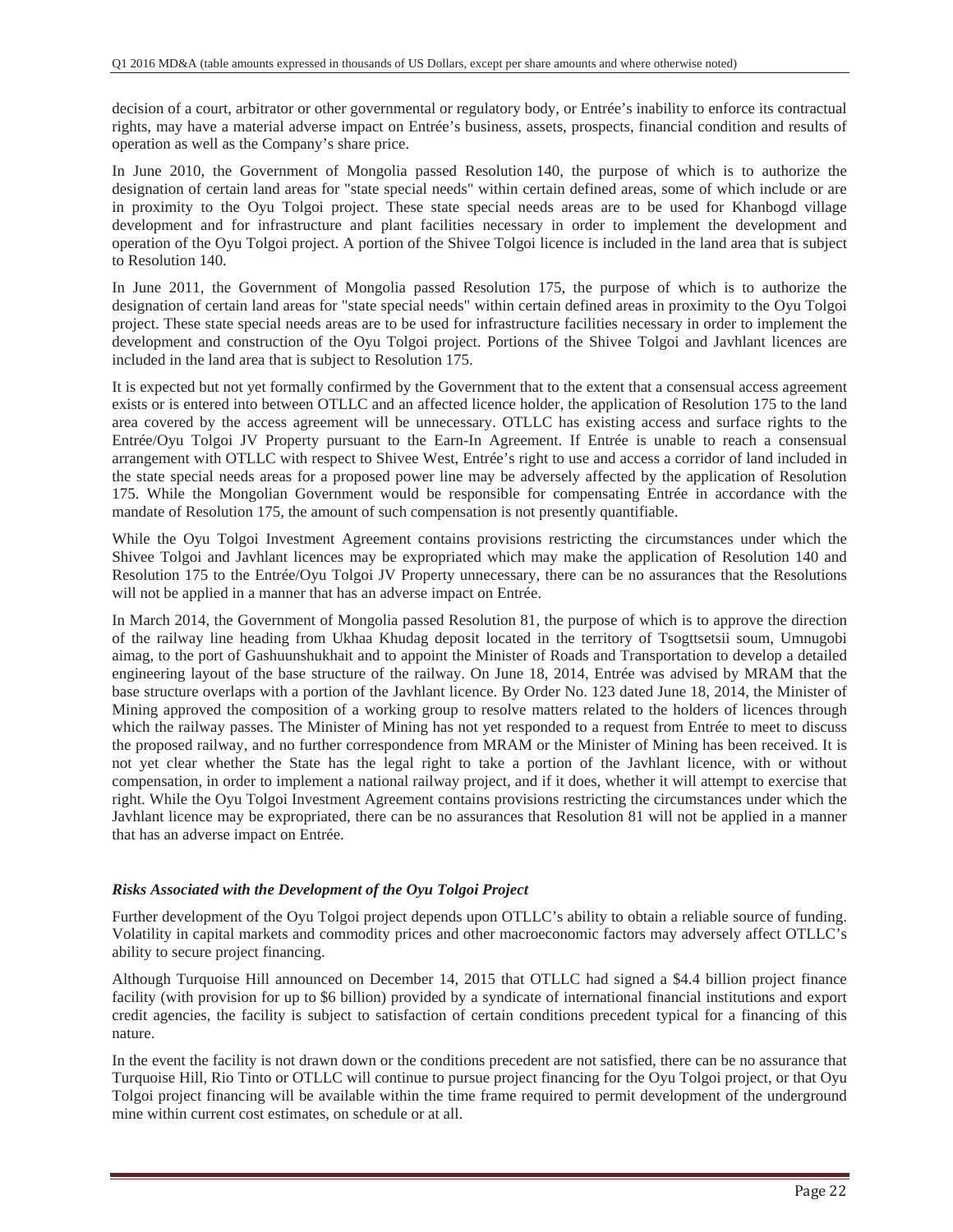decision of a court, arbitrator or other governmental or regulatory body, or Entrée's inability to enforce its contractual rights, may have a material adverse impact on Entrée's business, assets, prospects, financial condition and results of operation as well as the Company's share price.

In June 2010, the Government of Mongolia passed Resolution 140, the purpose of which is to authorize the designation of certain land areas for "state special needs" within certain defined areas, some of which include or are in proximity to the Oyu Tolgoi project. These state special needs areas are to be used for Khanbogd village development and for infrastructure and plant facilities necessary in order to implement the development and operation of the Oyu Tolgoi project. A portion of the Shivee Tolgoi licence is included in the land area that is subject to Resolution 140.

In June 2011, the Government of Mongolia passed Resolution 175, the purpose of which is to authorize the designation of certain land areas for "state special needs" within certain defined areas in proximity to the Oyu Tolgoi project. These state special needs areas are to be used for infrastructure facilities necessary in order to implement the development and construction of the Oyu Tolgoi project. Portions of the Shivee Tolgoi and Javhlant licences are included in the land area that is subject to Resolution 175.

It is expected but not yet formally confirmed by the Government that to the extent that a consensual access agreement exists or is entered into between OTLLC and an affected licence holder, the application of Resolution 175 to the land area covered by the access agreement will be unnecessary. OTLLC has existing access and surface rights to the Entrée/Oyu Tolgoi JV Property pursuant to the Earn-In Agreement. If Entrée is unable to reach a consensual arrangement with OTLLC with respect to Shivee West, Entrée's right to use and access a corridor of land included in the state special needs areas for a proposed power line may be adversely affected by the application of Resolution 175. While the Mongolian Government would be responsible for compensating Entrée in accordance with the mandate of Resolution 175, the amount of such compensation is not presently quantifiable.

While the Oyu Tolgoi Investment Agreement contains provisions restricting the circumstances under which the Shivee Tolgoi and Javhlant licences may be expropriated which may make the application of Resolution 140 and Resolution 175 to the Entrée/Oyu Tolgoi JV Property unnecessary, there can be no assurances that the Resolutions will not be applied in a manner that has an adverse impact on Entrée.

In March 2014, the Government of Mongolia passed Resolution 81, the purpose of which is to approve the direction of the railway line heading from Ukhaa Khudag deposit located in the territory of Tsogttsetsii soum, Umnugobi aimag, to the port of Gashuunshukhait and to appoint the Minister of Roads and Transportation to develop a detailed engineering layout of the base structure of the railway. On June 18, 2014, Entrée was advised by MRAM that the base structure overlaps with a portion of the Javhlant licence. By Order No. 123 dated June 18, 2014, the Minister of Mining approved the composition of a working group to resolve matters related to the holders of licences through which the railway passes. The Minister of Mining has not yet responded to a request from Entrée to meet to discuss the proposed railway, and no further correspondence from MRAM or the Minister of Mining has been received. It is not yet clear whether the State has the legal right to take a portion of the Javhlant licence, with or without compensation, in order to implement a national railway project, and if it does, whether it will attempt to exercise that right. While the Oyu Tolgoi Investment Agreement contains provisions restricting the circumstances under which the Javhlant licence may be expropriated, there can be no assurances that Resolution 81 will not be applied in a manner that has an adverse impact on Entrée.

### *Risks Associated with the Development of the Oyu Tolgoi Project*

Further development of the Oyu Tolgoi project depends upon OTLLC's ability to obtain a reliable source of funding. Volatility in capital markets and commodity prices and other macroeconomic factors may adversely affect OTLLC's ability to secure project financing.

Although Turquoise Hill announced on December 14, 2015 that OTLLC had signed a \$4.4 billion project finance facility (with provision for up to \$6 billion) provided by a syndicate of international financial institutions and export credit agencies, the facility is subject to satisfaction of certain conditions precedent typical for a financing of this nature.

In the event the facility is not drawn down or the conditions precedent are not satisfied, there can be no assurance that Turquoise Hill, Rio Tinto or OTLLC will continue to pursue project financing for the Oyu Tolgoi project, or that Oyu Tolgoi project financing will be available within the time frame required to permit development of the underground mine within current cost estimates, on schedule or at all.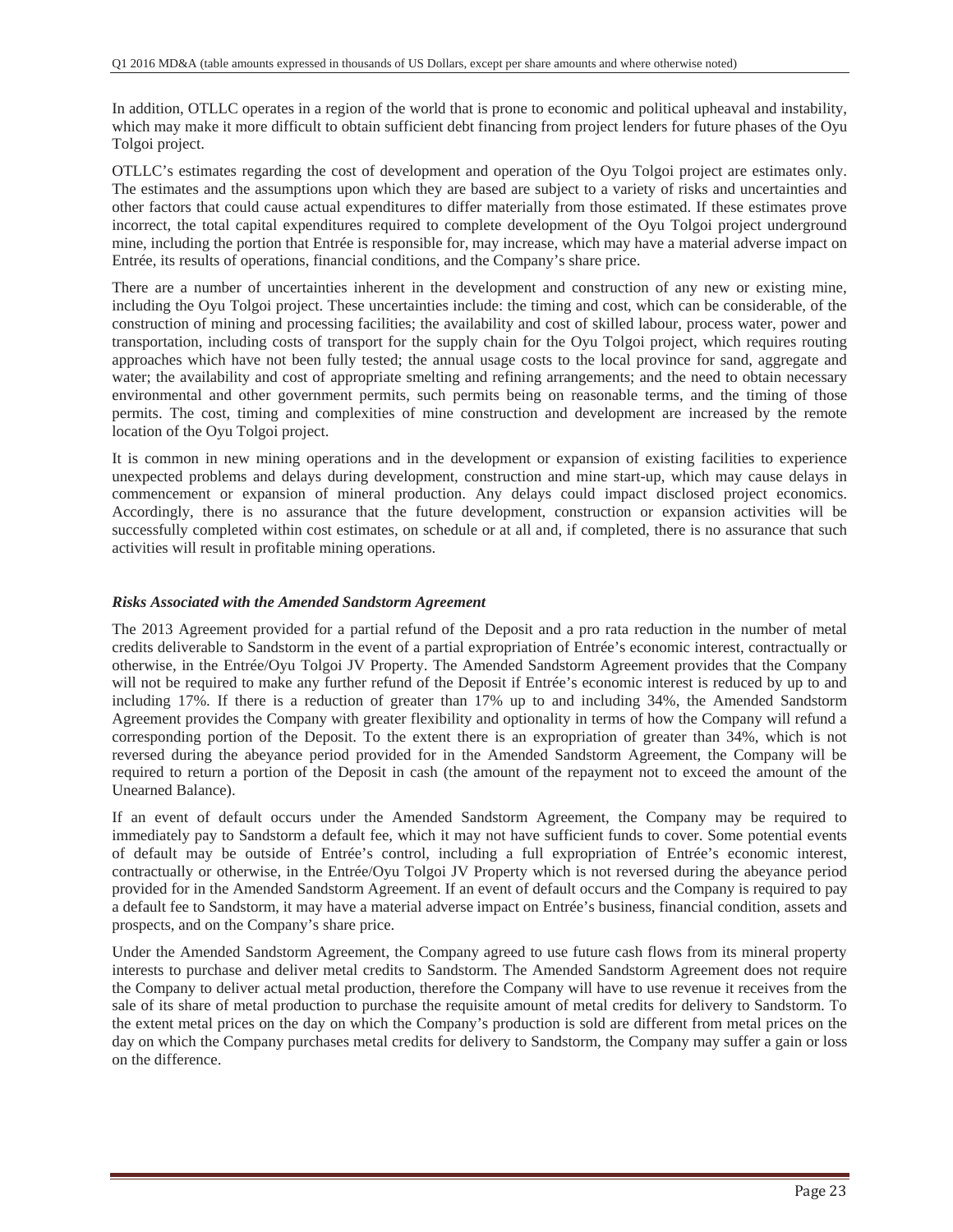In addition, OTLLC operates in a region of the world that is prone to economic and political upheaval and instability, which may make it more difficult to obtain sufficient debt financing from project lenders for future phases of the Oyu Tolgoi project.

OTLLC's estimates regarding the cost of development and operation of the Oyu Tolgoi project are estimates only. The estimates and the assumptions upon which they are based are subject to a variety of risks and uncertainties and other factors that could cause actual expenditures to differ materially from those estimated. If these estimates prove incorrect, the total capital expenditures required to complete development of the Oyu Tolgoi project underground mine, including the portion that Entrée is responsible for, may increase, which may have a material adverse impact on Entrée, its results of operations, financial conditions, and the Company's share price.

There are a number of uncertainties inherent in the development and construction of any new or existing mine, including the Oyu Tolgoi project. These uncertainties include: the timing and cost, which can be considerable, of the construction of mining and processing facilities; the availability and cost of skilled labour, process water, power and transportation, including costs of transport for the supply chain for the Oyu Tolgoi project, which requires routing approaches which have not been fully tested; the annual usage costs to the local province for sand, aggregate and water; the availability and cost of appropriate smelting and refining arrangements; and the need to obtain necessary environmental and other government permits, such permits being on reasonable terms, and the timing of those permits. The cost, timing and complexities of mine construction and development are increased by the remote location of the Oyu Tolgoi project.

It is common in new mining operations and in the development or expansion of existing facilities to experience unexpected problems and delays during development, construction and mine start-up, which may cause delays in commencement or expansion of mineral production. Any delays could impact disclosed project economics. Accordingly, there is no assurance that the future development, construction or expansion activities will be successfully completed within cost estimates, on schedule or at all and, if completed, there is no assurance that such activities will result in profitable mining operations.

### *Risks Associated with the Amended Sandstorm Agreement*

The 2013 Agreement provided for a partial refund of the Deposit and a pro rata reduction in the number of metal credits deliverable to Sandstorm in the event of a partial expropriation of Entrée's economic interest, contractually or otherwise, in the Entrée/Oyu Tolgoi JV Property. The Amended Sandstorm Agreement provides that the Company will not be required to make any further refund of the Deposit if Entrée's economic interest is reduced by up to and including 17%. If there is a reduction of greater than 17% up to and including 34%, the Amended Sandstorm Agreement provides the Company with greater flexibility and optionality in terms of how the Company will refund a corresponding portion of the Deposit. To the extent there is an expropriation of greater than 34%, which is not reversed during the abeyance period provided for in the Amended Sandstorm Agreement, the Company will be required to return a portion of the Deposit in cash (the amount of the repayment not to exceed the amount of the Unearned Balance).

If an event of default occurs under the Amended Sandstorm Agreement, the Company may be required to immediately pay to Sandstorm a default fee, which it may not have sufficient funds to cover. Some potential events of default may be outside of Entrée's control, including a full expropriation of Entrée's economic interest, contractually or otherwise, in the Entrée/Oyu Tolgoi JV Property which is not reversed during the abeyance period provided for in the Amended Sandstorm Agreement. If an event of default occurs and the Company is required to pay a default fee to Sandstorm, it may have a material adverse impact on Entrée's business, financial condition, assets and prospects, and on the Company's share price.

Under the Amended Sandstorm Agreement, the Company agreed to use future cash flows from its mineral property interests to purchase and deliver metal credits to Sandstorm. The Amended Sandstorm Agreement does not require the Company to deliver actual metal production, therefore the Company will have to use revenue it receives from the sale of its share of metal production to purchase the requisite amount of metal credits for delivery to Sandstorm. To the extent metal prices on the day on which the Company's production is sold are different from metal prices on the day on which the Company purchases metal credits for delivery to Sandstorm, the Company may suffer a gain or loss on the difference.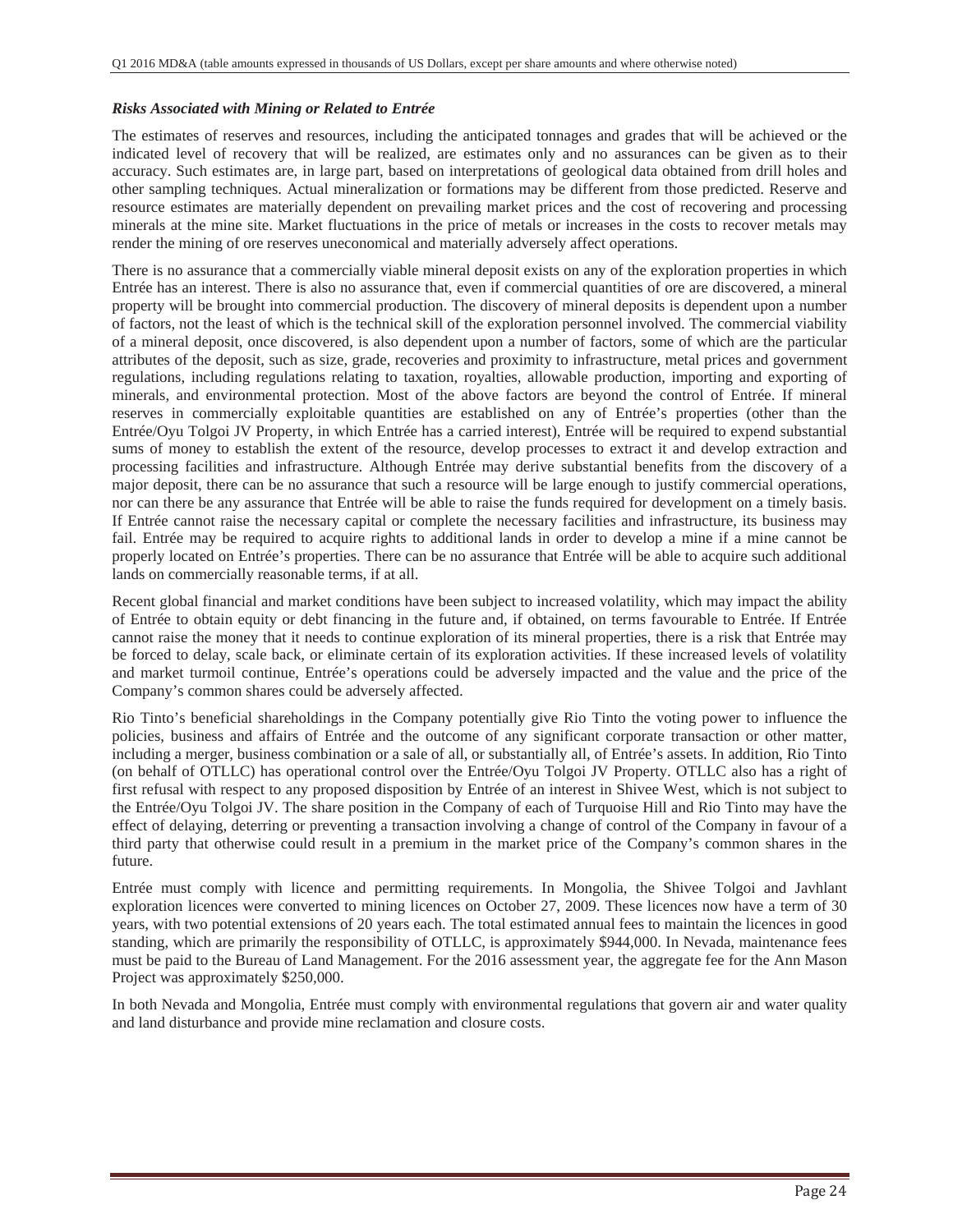#### *Risks Associated with Mining or Related to Entrée*

The estimates of reserves and resources, including the anticipated tonnages and grades that will be achieved or the indicated level of recovery that will be realized, are estimates only and no assurances can be given as to their accuracy. Such estimates are, in large part, based on interpretations of geological data obtained from drill holes and other sampling techniques. Actual mineralization or formations may be different from those predicted. Reserve and resource estimates are materially dependent on prevailing market prices and the cost of recovering and processing minerals at the mine site. Market fluctuations in the price of metals or increases in the costs to recover metals may render the mining of ore reserves uneconomical and materially adversely affect operations.

There is no assurance that a commercially viable mineral deposit exists on any of the exploration properties in which Entrée has an interest. There is also no assurance that, even if commercial quantities of ore are discovered, a mineral property will be brought into commercial production. The discovery of mineral deposits is dependent upon a number of factors, not the least of which is the technical skill of the exploration personnel involved. The commercial viability of a mineral deposit, once discovered, is also dependent upon a number of factors, some of which are the particular attributes of the deposit, such as size, grade, recoveries and proximity to infrastructure, metal prices and government regulations, including regulations relating to taxation, royalties, allowable production, importing and exporting of minerals, and environmental protection. Most of the above factors are beyond the control of Entrée. If mineral reserves in commercially exploitable quantities are established on any of Entrée's properties (other than the Entrée/Oyu Tolgoi JV Property, in which Entrée has a carried interest), Entrée will be required to expend substantial sums of money to establish the extent of the resource, develop processes to extract it and develop extraction and processing facilities and infrastructure. Although Entrée may derive substantial benefits from the discovery of a major deposit, there can be no assurance that such a resource will be large enough to justify commercial operations, nor can there be any assurance that Entrée will be able to raise the funds required for development on a timely basis. If Entrée cannot raise the necessary capital or complete the necessary facilities and infrastructure, its business may fail. Entrée may be required to acquire rights to additional lands in order to develop a mine if a mine cannot be properly located on Entrée's properties. There can be no assurance that Entrée will be able to acquire such additional lands on commercially reasonable terms, if at all.

Recent global financial and market conditions have been subject to increased volatility, which may impact the ability of Entrée to obtain equity or debt financing in the future and, if obtained, on terms favourable to Entrée. If Entrée cannot raise the money that it needs to continue exploration of its mineral properties, there is a risk that Entrée may be forced to delay, scale back, or eliminate certain of its exploration activities. If these increased levels of volatility and market turmoil continue, Entrée's operations could be adversely impacted and the value and the price of the Company's common shares could be adversely affected.

Rio Tinto's beneficial shareholdings in the Company potentially give Rio Tinto the voting power to influence the policies, business and affairs of Entrée and the outcome of any significant corporate transaction or other matter, including a merger, business combination or a sale of all, or substantially all, of Entrée's assets. In addition, Rio Tinto (on behalf of OTLLC) has operational control over the Entrée/Oyu Tolgoi JV Property. OTLLC also has a right of first refusal with respect to any proposed disposition by Entrée of an interest in Shivee West, which is not subject to the Entrée/Oyu Tolgoi JV. The share position in the Company of each of Turquoise Hill and Rio Tinto may have the effect of delaying, deterring or preventing a transaction involving a change of control of the Company in favour of a third party that otherwise could result in a premium in the market price of the Company's common shares in the future.

Entrée must comply with licence and permitting requirements. In Mongolia, the Shivee Tolgoi and Javhlant exploration licences were converted to mining licences on October 27, 2009. These licences now have a term of 30 years, with two potential extensions of 20 years each. The total estimated annual fees to maintain the licences in good standing, which are primarily the responsibility of OTLLC, is approximately \$944,000. In Nevada, maintenance fees must be paid to the Bureau of Land Management. For the 2016 assessment year, the aggregate fee for the Ann Mason Project was approximately \$250,000.

In both Nevada and Mongolia, Entrée must comply with environmental regulations that govern air and water quality and land disturbance and provide mine reclamation and closure costs.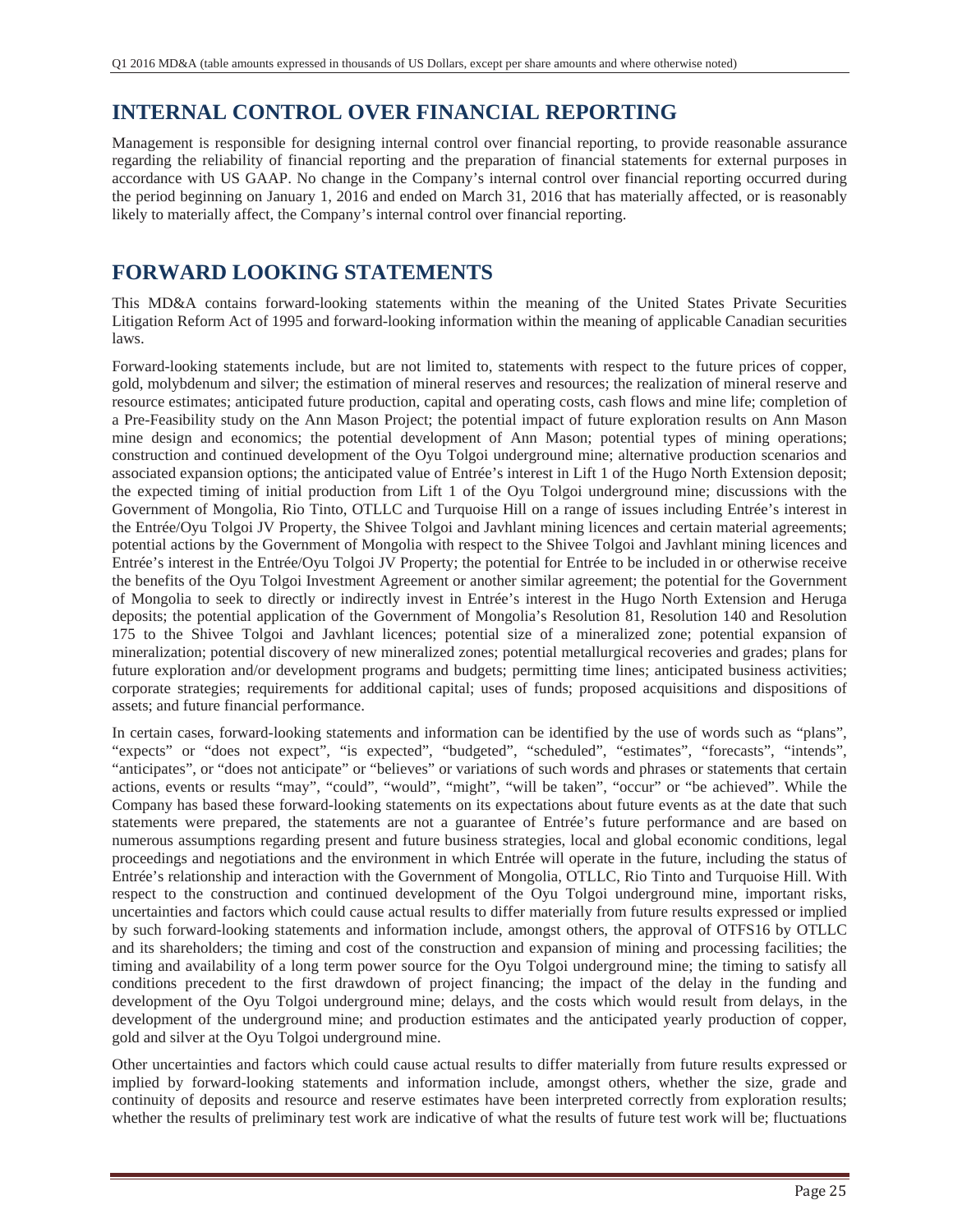## **INTERNAL CONTROL OVER FINANCIAL REPORTING**

Management is responsible for designing internal control over financial reporting, to provide reasonable assurance regarding the reliability of financial reporting and the preparation of financial statements for external purposes in accordance with US GAAP. No change in the Company's internal control over financial reporting occurred during the period beginning on January 1, 2016 and ended on March 31, 2016 that has materially affected, or is reasonably likely to materially affect, the Company's internal control over financial reporting.

## **FORWARD LOOKING STATEMENTS**

This MD&A contains forward-looking statements within the meaning of the United States Private Securities Litigation Reform Act of 1995 and forward-looking information within the meaning of applicable Canadian securities laws.

Forward-looking statements include, but are not limited to, statements with respect to the future prices of copper, gold, molybdenum and silver; the estimation of mineral reserves and resources; the realization of mineral reserve and resource estimates; anticipated future production, capital and operating costs, cash flows and mine life; completion of a Pre-Feasibility study on the Ann Mason Project; the potential impact of future exploration results on Ann Mason mine design and economics; the potential development of Ann Mason; potential types of mining operations; construction and continued development of the Oyu Tolgoi underground mine; alternative production scenarios and associated expansion options; the anticipated value of Entrée's interest in Lift 1 of the Hugo North Extension deposit; the expected timing of initial production from Lift 1 of the Oyu Tolgoi underground mine; discussions with the Government of Mongolia, Rio Tinto, OTLLC and Turquoise Hill on a range of issues including Entrée's interest in the Entrée/Oyu Tolgoi JV Property, the Shivee Tolgoi and Javhlant mining licences and certain material agreements; potential actions by the Government of Mongolia with respect to the Shivee Tolgoi and Javhlant mining licences and Entrée's interest in the Entrée/Oyu Tolgoi JV Property; the potential for Entrée to be included in or otherwise receive the benefits of the Oyu Tolgoi Investment Agreement or another similar agreement; the potential for the Government of Mongolia to seek to directly or indirectly invest in Entrée's interest in the Hugo North Extension and Heruga deposits; the potential application of the Government of Mongolia's Resolution 81, Resolution 140 and Resolution 175 to the Shivee Tolgoi and Javhlant licences; potential size of a mineralized zone; potential expansion of mineralization; potential discovery of new mineralized zones; potential metallurgical recoveries and grades; plans for future exploration and/or development programs and budgets; permitting time lines; anticipated business activities; corporate strategies; requirements for additional capital; uses of funds; proposed acquisitions and dispositions of assets; and future financial performance.

In certain cases, forward-looking statements and information can be identified by the use of words such as "plans", "expects" or "does not expect", "is expected", "budgeted", "scheduled", "estimates", "forecasts", "intends", "anticipates", or "does not anticipate" or "believes" or variations of such words and phrases or statements that certain actions, events or results "may", "could", "would", "might", "will be taken", "occur" or "be achieved". While the Company has based these forward-looking statements on its expectations about future events as at the date that such statements were prepared, the statements are not a guarantee of Entrée's future performance and are based on numerous assumptions regarding present and future business strategies, local and global economic conditions, legal proceedings and negotiations and the environment in which Entrée will operate in the future, including the status of Entrée's relationship and interaction with the Government of Mongolia, OTLLC, Rio Tinto and Turquoise Hill. With respect to the construction and continued development of the Oyu Tolgoi underground mine, important risks, uncertainties and factors which could cause actual results to differ materially from future results expressed or implied by such forward-looking statements and information include, amongst others, the approval of OTFS16 by OTLLC and its shareholders; the timing and cost of the construction and expansion of mining and processing facilities; the timing and availability of a long term power source for the Oyu Tolgoi underground mine; the timing to satisfy all conditions precedent to the first drawdown of project financing; the impact of the delay in the funding and development of the Oyu Tolgoi underground mine; delays, and the costs which would result from delays, in the development of the underground mine; and production estimates and the anticipated yearly production of copper, gold and silver at the Oyu Tolgoi underground mine.

Other uncertainties and factors which could cause actual results to differ materially from future results expressed or implied by forward-looking statements and information include, amongst others, whether the size, grade and continuity of deposits and resource and reserve estimates have been interpreted correctly from exploration results; whether the results of preliminary test work are indicative of what the results of future test work will be; fluctuations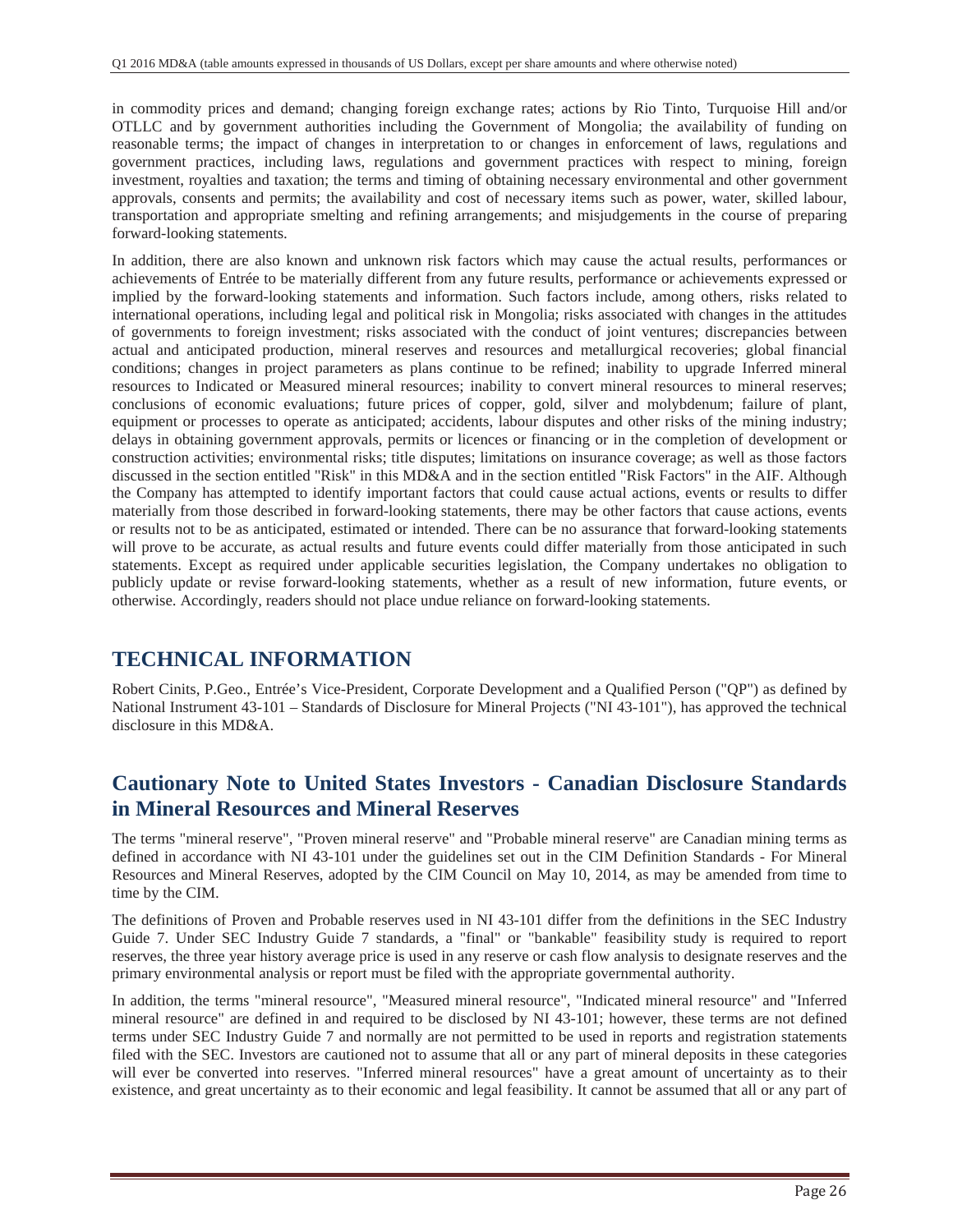in commodity prices and demand; changing foreign exchange rates; actions by Rio Tinto, Turquoise Hill and/or OTLLC and by government authorities including the Government of Mongolia; the availability of funding on reasonable terms; the impact of changes in interpretation to or changes in enforcement of laws, regulations and government practices, including laws, regulations and government practices with respect to mining, foreign investment, royalties and taxation; the terms and timing of obtaining necessary environmental and other government approvals, consents and permits; the availability and cost of necessary items such as power, water, skilled labour, transportation and appropriate smelting and refining arrangements; and misjudgements in the course of preparing forward-looking statements.

In addition, there are also known and unknown risk factors which may cause the actual results, performances or achievements of Entrée to be materially different from any future results, performance or achievements expressed or implied by the forward-looking statements and information. Such factors include, among others, risks related to international operations, including legal and political risk in Mongolia; risks associated with changes in the attitudes of governments to foreign investment; risks associated with the conduct of joint ventures; discrepancies between actual and anticipated production, mineral reserves and resources and metallurgical recoveries; global financial conditions; changes in project parameters as plans continue to be refined; inability to upgrade Inferred mineral resources to Indicated or Measured mineral resources; inability to convert mineral resources to mineral reserves; conclusions of economic evaluations; future prices of copper, gold, silver and molybdenum; failure of plant, equipment or processes to operate as anticipated; accidents, labour disputes and other risks of the mining industry; delays in obtaining government approvals, permits or licences or financing or in the completion of development or construction activities; environmental risks; title disputes; limitations on insurance coverage; as well as those factors discussed in the section entitled "Risk" in this MD&A and in the section entitled "Risk Factors" in the AIF. Although the Company has attempted to identify important factors that could cause actual actions, events or results to differ materially from those described in forward-looking statements, there may be other factors that cause actions, events or results not to be as anticipated, estimated or intended. There can be no assurance that forward-looking statements will prove to be accurate, as actual results and future events could differ materially from those anticipated in such statements. Except as required under applicable securities legislation, the Company undertakes no obligation to publicly update or revise forward-looking statements, whether as a result of new information, future events, or otherwise. Accordingly, readers should not place undue reliance on forward-looking statements.

### **TECHNICAL INFORMATION**

Robert Cinits, P.Geo., Entrée's Vice-President, Corporate Development and a Qualified Person ("QP") as defined by National Instrument 43-101 – Standards of Disclosure for Mineral Projects ("NI 43-101"), has approved the technical disclosure in this MD&A.

### **Cautionary Note to United States Investors - Canadian Disclosure Standards in Mineral Resources and Mineral Reserves**

The terms "mineral reserve", "Proven mineral reserve" and "Probable mineral reserve" are Canadian mining terms as defined in accordance with NI 43-101 under the guidelines set out in the CIM Definition Standards - For Mineral Resources and Mineral Reserves, adopted by the CIM Council on May 10, 2014, as may be amended from time to time by the CIM.

The definitions of Proven and Probable reserves used in NI 43-101 differ from the definitions in the SEC Industry Guide 7. Under SEC Industry Guide 7 standards, a "final" or "bankable" feasibility study is required to report reserves, the three year history average price is used in any reserve or cash flow analysis to designate reserves and the primary environmental analysis or report must be filed with the appropriate governmental authority.

In addition, the terms "mineral resource", "Measured mineral resource", "Indicated mineral resource" and "Inferred mineral resource" are defined in and required to be disclosed by NI 43-101; however, these terms are not defined terms under SEC Industry Guide 7 and normally are not permitted to be used in reports and registration statements filed with the SEC. Investors are cautioned not to assume that all or any part of mineral deposits in these categories will ever be converted into reserves. "Inferred mineral resources" have a great amount of uncertainty as to their existence, and great uncertainty as to their economic and legal feasibility. It cannot be assumed that all or any part of